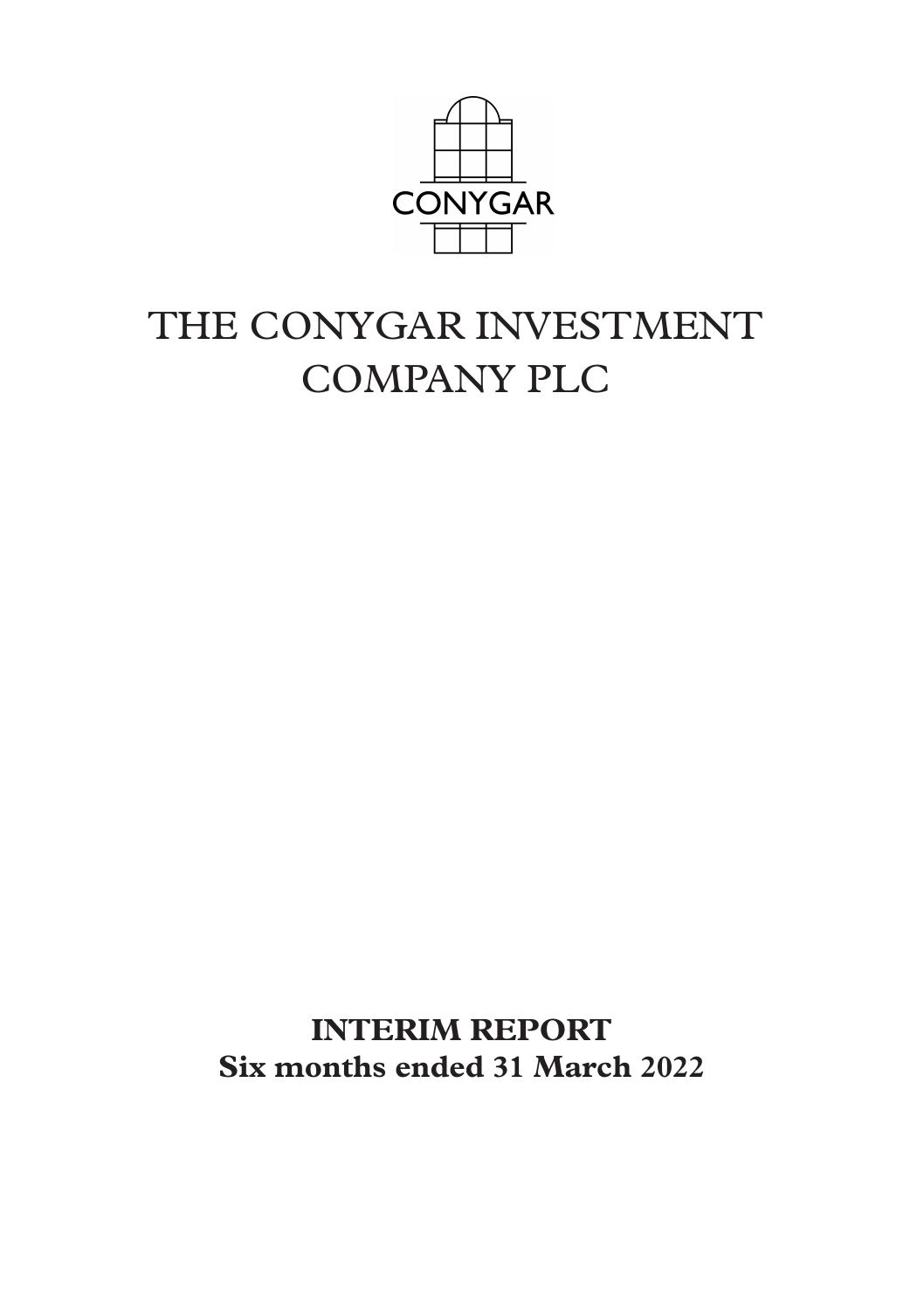

# THE CONYGAR INVESTMENT COMPANY PLC

**INTERIM REPORT Six months ended 31 March 2022**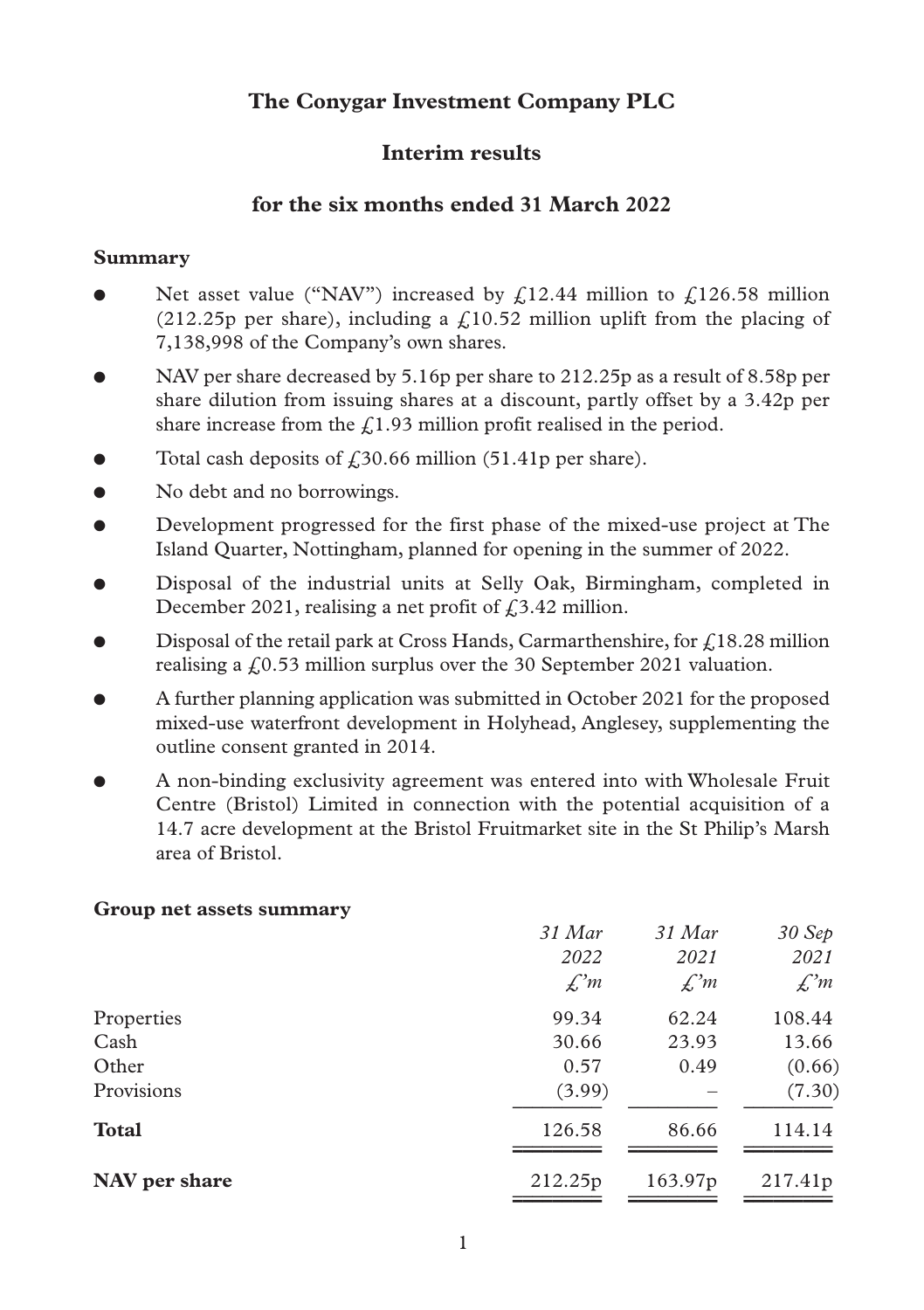# **The Conygar Investment Company PLC**

## **Interim results**

## **for the six months ended 31 March 2022**

#### **Summary**

- Net asset value ("NAV") increased by  $f12.44$  million to  $f126.58$  million (212.25p per share), including a  $f(10.52)$  million uplift from the placing of 7,138,998 of the Company's own shares.
- l NAV per share decreased by 5.16p per share to 212.25p as a result of 8.58p per share dilution from issuing shares at a discount, partly offset by a 3.42p per share increase from the  $f(1.93)$  million profit realised in the period.
- Total cash deposits of  $\text{\emph{f}}30.66$  million (51.41p per share).
- No debt and no borrowings.
- l Development progressed for the first phase of the mixed-use project at The Island Quarter, Nottingham, planned for opening in the summer of 2022.
- l Disposal of the industrial units at Selly Oak, Birmingham, completed in December 2021, realising a net profit of  $f<sub>1</sub>3.42$  million.
- Disposal of the retail park at Cross Hands, Carmarthenshire, for  $f<sub>1</sub>18.28$  million realising a  $f(0.53)$  million surplus over the 30 September 2021 valuation.
- l A further planning application was submitted in October 2021 for the proposed mixed-use waterfront development in Holyhead, Anglesey, supplementing the outline consent granted in 2014.
- l A non-binding exclusivity agreement was entered into with Wholesale Fruit Centre (Bristol) Limited in connection with the potential acquisition of a 14.7 acre development at the Bristol Fruitmarket site in the St Philip's Marsh area of Bristol.

#### **Group net assets summary**

| $31$ Mar        | 31 Mar              | 30 Sep<br>2021  |
|-----------------|---------------------|-----------------|
| $\mathcal{L}^m$ | $\mathcal{L}^m$     | $\mathcal{L}^m$ |
| 99.34           | 62.24               | 108.44          |
| 30.66           | 23.93               | 13.66           |
| 0.57            | 0.49                | (0.66)          |
| (3.99)          |                     | (7.30)          |
| 126.58          | 86.66               | 114.14          |
| 212.25p         | 163.97 <sub>p</sub> | 217.41p         |
|                 | 2022                | 2021            |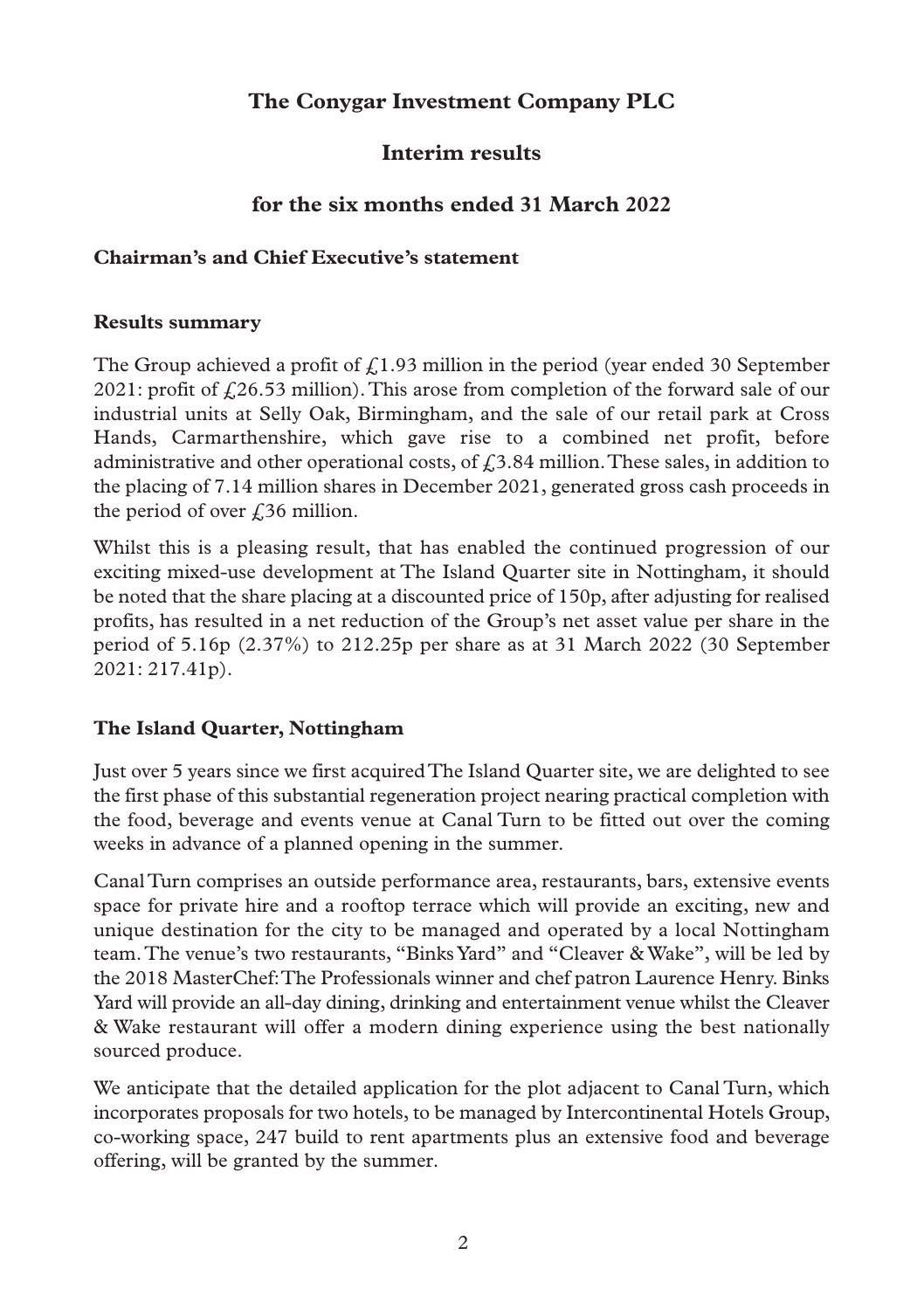# **The Conygar Investment Company PLC**

## **Interim results**

# **for the six months ended 31 March 2022**

#### **Chairman's and Chief Executive's statement**

#### **Results summary**

The Group achieved a profit of  $f(1.93)$  million in the period (year ended 30 September 2021: profit of  $f(26.53 \text{ million})$ . This arose from completion of the forward sale of our industrial units at Selly Oak, Birmingham, and the sale of our retail park at Cross Hands, Carmarthenshire, which gave rise to a combined net profit, before administrative and other operational costs, of  $f<sub>i</sub>3.84$  million. These sales, in addition to the placing of 7.14 million shares in December 2021, generated gross cash proceeds in the period of over  $\ell$  36 million.

Whilst this is a pleasing result, that has enabled the continued progression of our exciting mixed-use development at The Island Quarter site in Nottingham, it should be noted that the share placing at a discounted price of 150p, after adjusting for realised profits, has resulted in a net reduction of the Group's net asset value per share in the period of 5.16p (2.37%) to 212.25p per share as at 31 March 2022 (30 September 2021: 217.41p).

#### **The Island Quarter, Nottingham**

Just over 5 years since we first acquired The Island Quarter site, we are delighted to see the first phase of this substantial regeneration project nearing practical completion with the food, beverage and events venue at Canal Turn to be fitted out over the coming weeks in advance of a planned opening in the summer.

Canal Turn comprises an outside performance area, restaurants, bars, extensive events space for private hire and a rooftop terrace which will provide an exciting, new and unique destination for the city to be managed and operated by a local Nottingham team. The venue's two restaurants, "Binks Yard" and "Cleaver & Wake", will be led by the 2018 MasterChef: The Professionals winner and chef patron Laurence Henry. Binks Yard will provide an all-day dining, drinking and entertainment venue whilst the Cleaver & Wake restaurant will offer a modern dining experience using the best nationally sourced produce.

We anticipate that the detailed application for the plot adjacent to Canal Turn, which incorporates proposals for two hotels, to be managed by Intercontinental Hotels Group, co-working space, 247 build to rent apartments plus an extensive food and beverage offering, will be granted by the summer.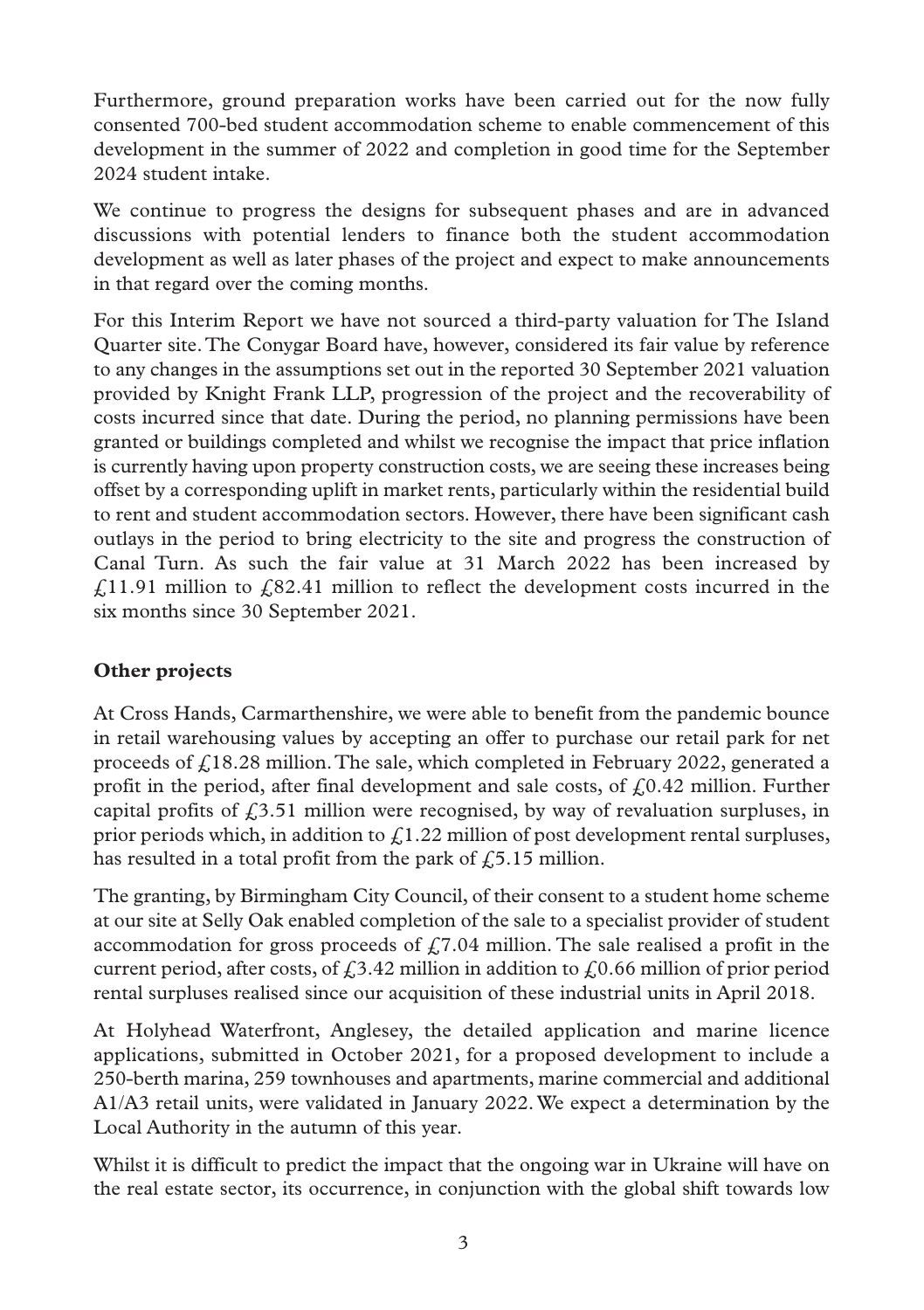Furthermore, ground preparation works have been carried out for the now fully consented 700-bed student accommodation scheme to enable commencement of this development in the summer of 2022 and completion in good time for the September 2024 student intake.

We continue to progress the designs for subsequent phases and are in advanced discussions with potential lenders to finance both the student accommodation development as well as later phases of the project and expect to make announcements in that regard over the coming months.

For this Interim Report we have not sourced a third-party valuation for The Island Quarter site. The Conygar Board have, however, considered its fair value by reference to any changes in the assumptions set out in the reported 30 September 2021 valuation provided by Knight Frank LLP, progression of the project and the recoverability of costs incurred since that date. During the period, no planning permissions have been granted or buildings completed and whilst we recognise the impact that price inflation is currently having upon property construction costs, we are seeing these increases being offset by a corresponding uplift in market rents, particularly within the residential build to rent and student accommodation sectors. However, there have been significant cash outlays in the period to bring electricity to the site and progress the construction of Canal Turn. As such the fair value at 31 March 2022 has been increased by  $f(11.91)$  million to  $f(82.41)$  million to reflect the development costs incurred in the six months since 30 September 2021.

## **Other projects**

At Cross Hands, Carmarthenshire, we were able to benefit from the pandemic bounce in retail warehousing values by accepting an offer to purchase our retail park for net proceeds of  $f(18.28 \text{ million}.)$  The sale, which completed in February 2022, generated a profit in the period, after final development and sale costs, of  $f<sub>0</sub>0.42$  million. Further capital profits of  $f(3.51)$  million were recognised, by way of revaluation surpluses, in prior periods which, in addition to  $\mathcal{L}1.22$  million of post development rental surpluses, has resulted in a total profit from the park of  $f(5.15)$  million.

The granting, by Birmingham City Council, of their consent to a student home scheme at our site at Selly Oak enabled completion of the sale to a specialist provider of student accommodation for gross proceeds of  $\zeta$ 7.04 million. The sale realised a profit in the current period, after costs, of  $\ell$ 3.42 million in addition to  $\ell$ 0.66 million of prior period rental surpluses realised since our acquisition of these industrial units in April 2018.

At Holyhead Waterfront, Anglesey, the detailed application and marine licence applications, submitted in October 2021, for a proposed development to include a 250-berth marina, 259 townhouses and apartments, marine commercial and additional A1/A3 retail units, were validated in January 2022. We expect a determination by the Local Authority in the autumn of this year.

Whilst it is difficult to predict the impact that the ongoing war in Ukraine will have on the real estate sector, its occurrence, in conjunction with the global shift towards low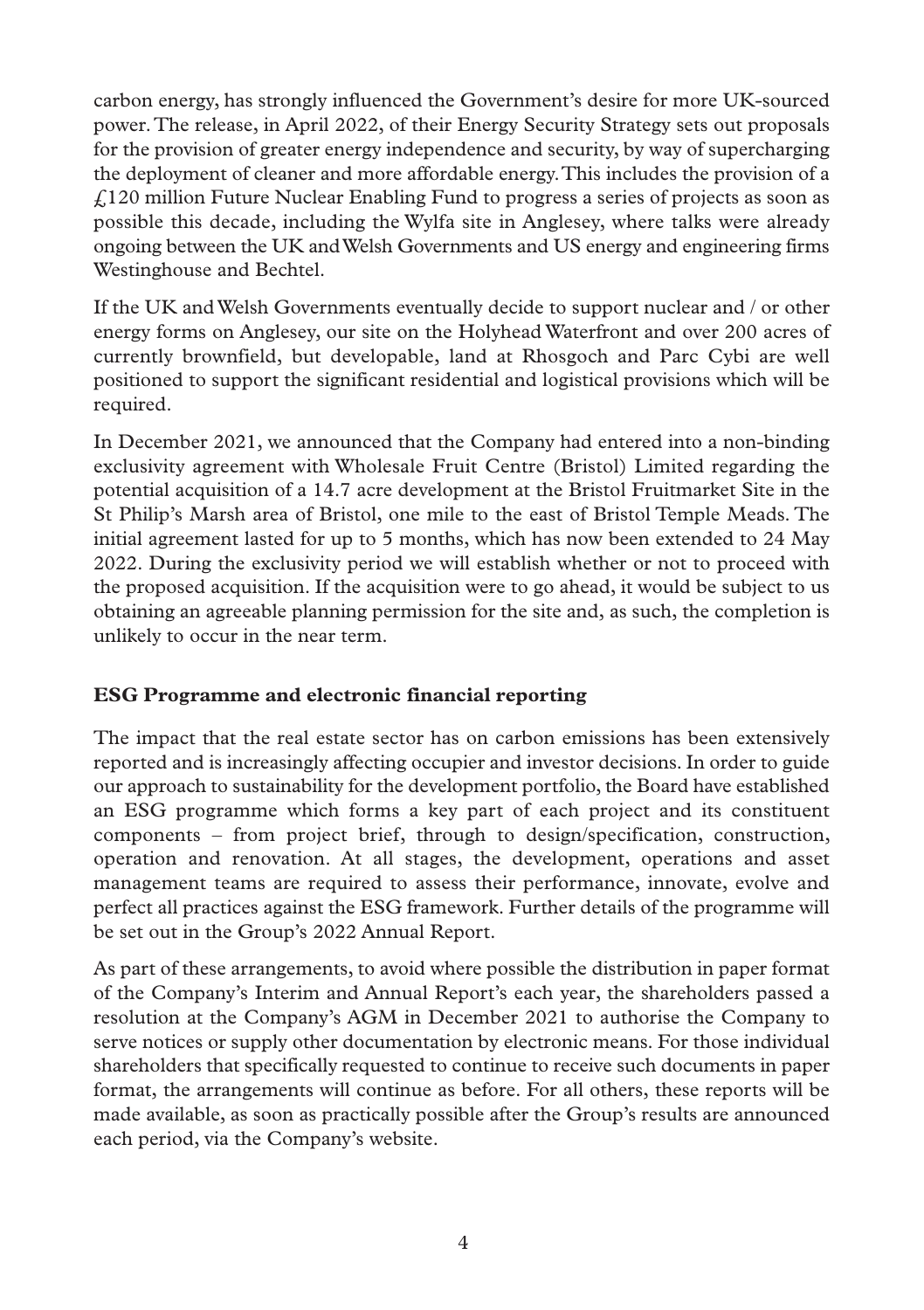carbon energy, has strongly influenced the Government's desire for more UK-sourced power. The release, in April 2022, of their Energy Security Strategy sets out proposals for the provision of greater energy independence and security, by way of supercharging the deployment of cleaner and more affordable energy. This includes the provision of a £120 million Future Nuclear Enabling Fund to progress a series of projects as soon as possible this decade, including the Wylfa site in Anglesey, where talks were already ongoing between the UK and Welsh Governments and US energy and engineering firms Westinghouse and Bechtel.

If the UK and Welsh Governments eventually decide to support nuclear and / or other energy forms on Anglesey, our site on the Holyhead Waterfront and over 200 acres of currently brownfield, but developable, land at Rhosgoch and Parc Cybi are well positioned to support the significant residential and logistical provisions which will be required.

In December 2021, we announced that the Company had entered into a non-binding exclusivity agreement with Wholesale Fruit Centre (Bristol) Limited regarding the potential acquisition of a 14.7 acre development at the Bristol Fruitmarket Site in the St Philip's Marsh area of Bristol, one mile to the east of Bristol Temple Meads. The initial agreement lasted for up to 5 months, which has now been extended to 24 May 2022. During the exclusivity period we will establish whether or not to proceed with the proposed acquisition. If the acquisition were to go ahead, it would be subject to us obtaining an agreeable planning permission for the site and, as such, the completion is unlikely to occur in the near term.

#### **ESG Programme and electronic financial reporting**

The impact that the real estate sector has on carbon emissions has been extensively reported and is increasingly affecting occupier and investor decisions. In order to guide our approach to sustainability for the development portfolio, the Board have established an ESG programme which forms a key part of each project and its constituent components – from project brief, through to design/specification, construction, operation and renovation. At all stages, the development, operations and asset management teams are required to assess their performance, innovate, evolve and perfect all practices against the ESG framework. Further details of the programme will be set out in the Group's 2022 Annual Report.

As part of these arrangements, to avoid where possible the distribution in paper format of the Company's Interim and Annual Report's each year, the shareholders passed a resolution at the Company's AGM in December 2021 to authorise the Company to serve notices or supply other documentation by electronic means. For those individual shareholders that specifically requested to continue to receive such documents in paper format, the arrangements will continue as before. For all others, these reports will be made available, as soon as practically possible after the Group's results are announced each period, via the Company's website.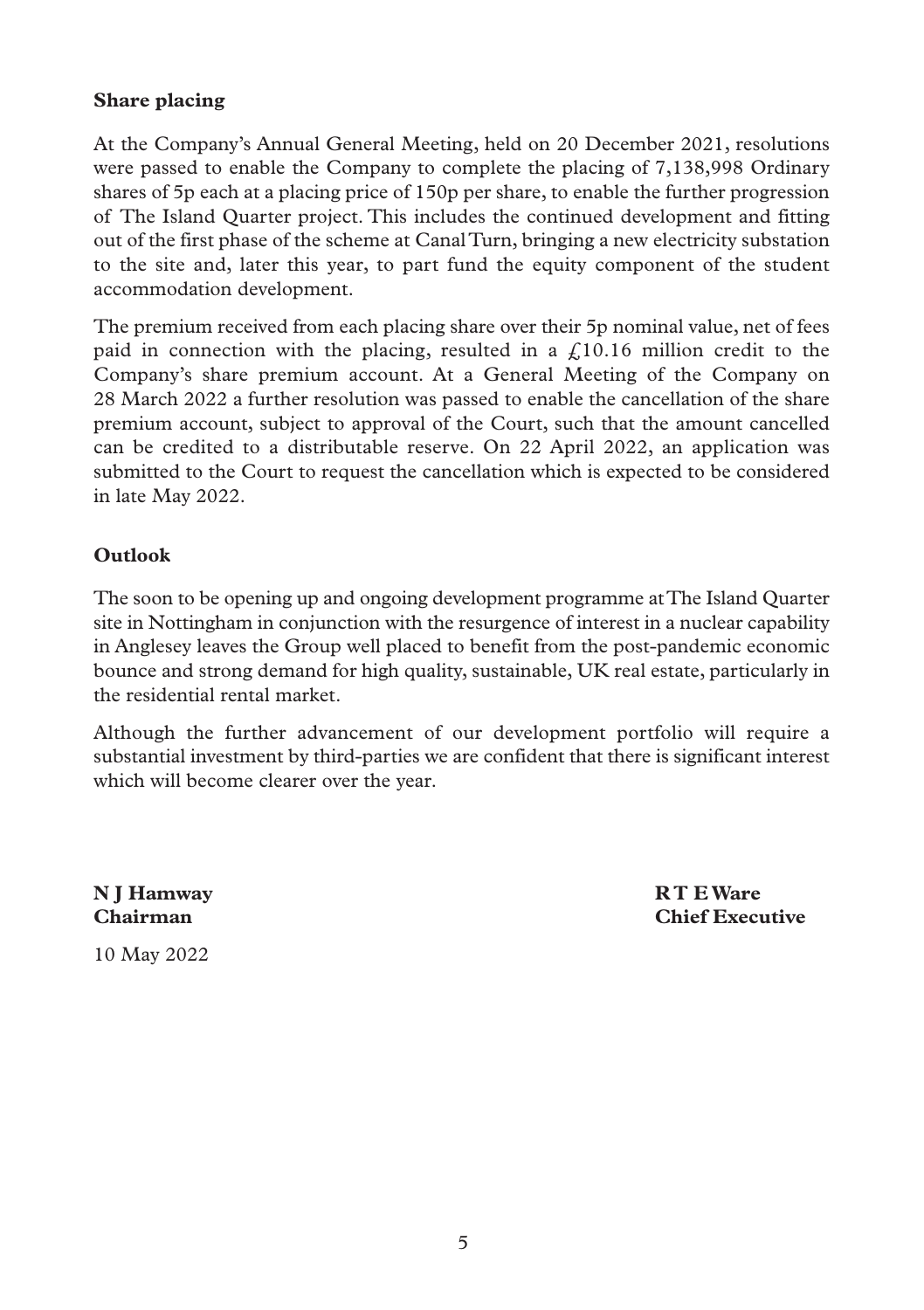#### **Share placing**

At the Company's Annual General Meeting, held on 20 December 2021, resolutions were passed to enable the Company to complete the placing of 7,138,998 Ordinary shares of 5p each at a placing price of 150p per share, to enable the further progression of The Island Quarter project. This includes the continued development and fitting out of the first phase of the scheme at Canal Turn, bringing a new electricity substation to the site and, later this year, to part fund the equity component of the student accommodation development.

The premium received from each placing share over their 5p nominal value, net of fees paid in connection with the placing, resulted in a  $\ell$ 10.16 million credit to the Company's share premium account. At a General Meeting of the Company on 28 March 2022 a further resolution was passed to enable the cancellation of the share premium account, subject to approval of the Court, such that the amount cancelled can be credited to a distributable reserve. On 22 April 2022, an application was submitted to the Court to request the cancellation which is expected to be considered in late May 2022.

### **Outlook**

The soon to be opening up and ongoing development programme at The Island Quarter site in Nottingham in conjunction with the resurgence of interest in a nuclear capability in Anglesey leaves the Group well placed to benefit from the post-pandemic economic bounce and strong demand for high quality, sustainable, UK real estate, particularly in the residential rental market.

Although the further advancement of our development portfolio will require a substantial investment by third-parties we are confident that there is significant interest which will become clearer over the year.

**N J Hamway R T E Ware**

**Chairman Chief Executive**

10 May 2022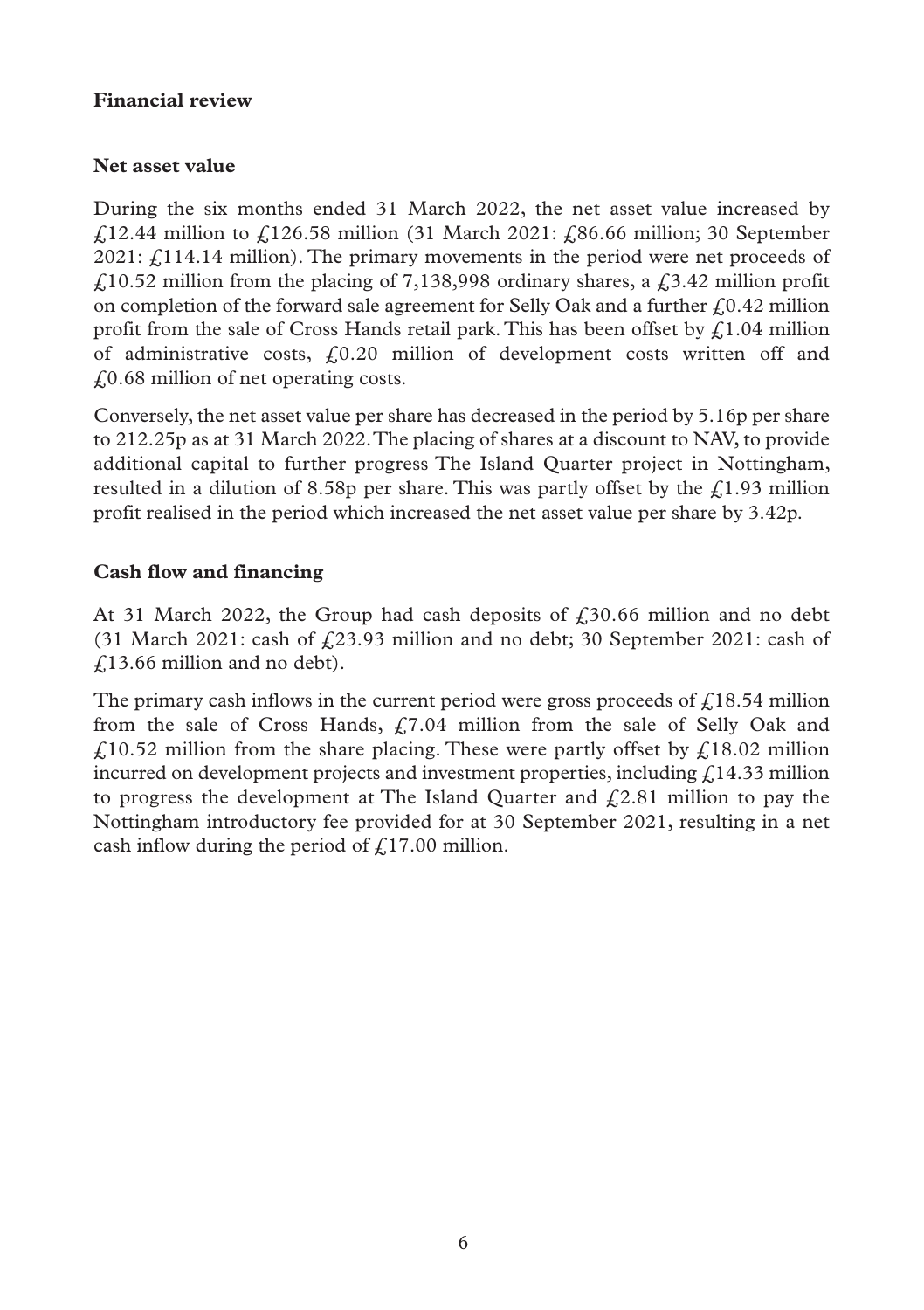#### **Financial review**

## **Net asset value**

During the six months ended 31 March 2022, the net asset value increased by £12.44 million to £126.58 million (31 March 2021: £86.66 million; 30 September  $2021: f114.14$  million). The primary movements in the period were net proceeds of  $\text{\emph{f}}$  10.52 million from the placing of 7,138,998 ordinary shares, a  $\text{\emph{f}}$  3.42 million profit on completion of the forward sale agreement for Selly Oak and a further  $f(0.42 \text{ million})$ profit from the sale of Cross Hands retail park. This has been offset by  $\frac{1}{2}$ . 1.04 million of administrative costs,  $f(0.20)$  million of development costs written off and £0.68 million of net operating costs.

Conversely, the net asset value per share has decreased in the period by 5.16p per share to 212.25p as at 31 March 2022. The placing of shares at a discount to NAV, to provide additional capital to further progress The Island Quarter project in Nottingham, resulted in a dilution of 8.58p per share. This was partly offset by the  $\ell$ , 1.93 million profit realised in the period which increased the net asset value per share by 3.42p.

### **Cash flow and financing**

At 31 March 2022, the Group had cash deposits of  $\text{\emph{f}}_330.66$  million and no debt (31 March 2021: cash of  $\frac{23.93 \text{ million}}{23.93 \text{ million}}$  and no debt; 30 September 2021: cash of £13.66 million and no debt).

The primary cash inflows in the current period were gross proceeds of  $\epsilon$  18.54 million from the sale of Cross Hands,  $f<sub>1</sub>7.04$  million from the sale of Selly Oak and  $\angle$  f.10.52 million from the share placing. These were partly offset by  $\angle$  18.02 million incurred on development projects and investment properties, including  $\zeta$  14.33 million to progress the development at The Island Quarter and  $f(2.81)$  million to pay the Nottingham introductory fee provided for at 30 September 2021, resulting in a net cash inflow during the period of  $f$ , 17.00 million.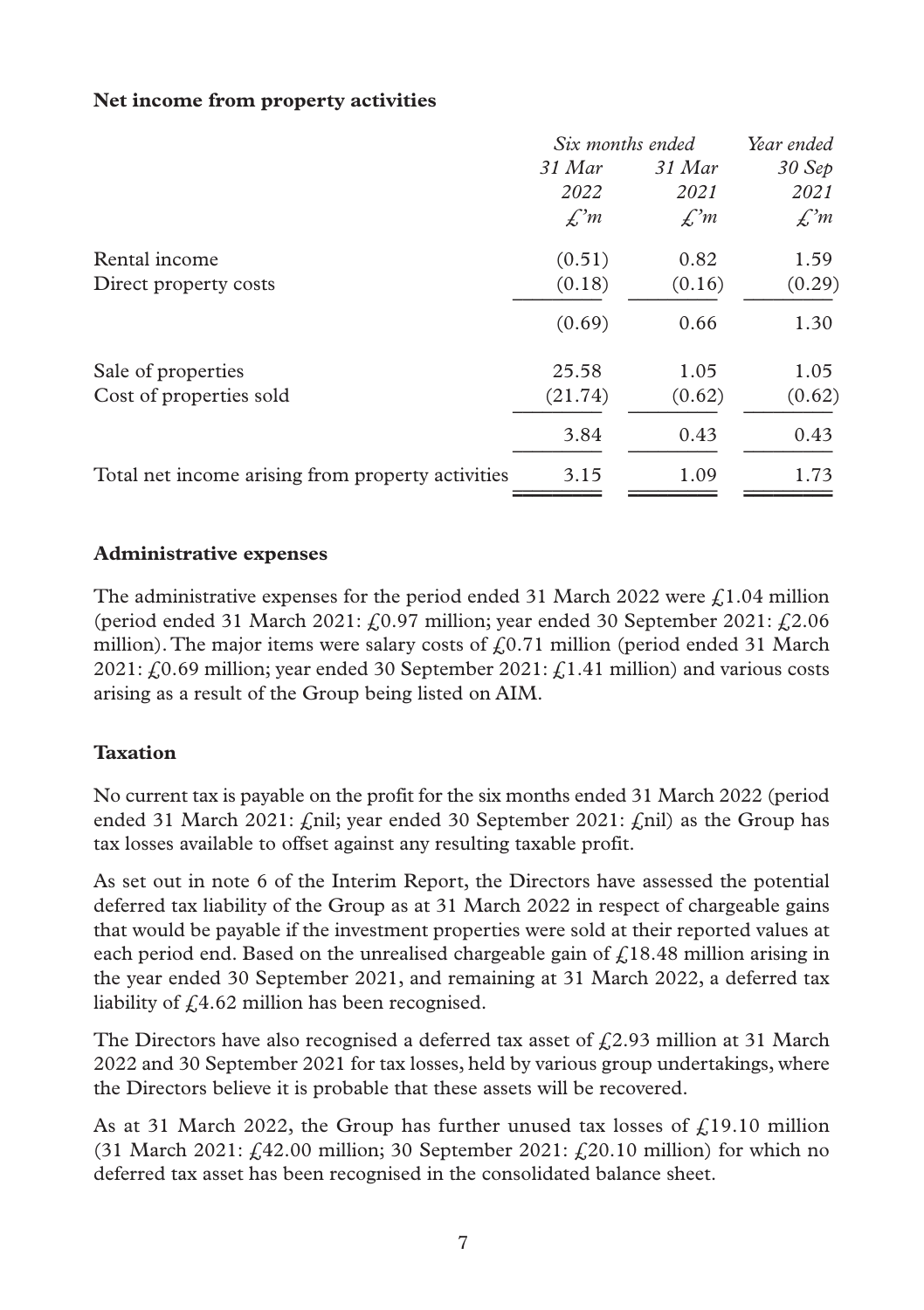#### **Net income from property activities**

|                                                   | Six months ended | Year ended      |                 |
|---------------------------------------------------|------------------|-----------------|-----------------|
|                                                   | $31$ Mar         | $31$ Mar        | 30 Sep          |
|                                                   | 2022             | 2021            | 2021            |
|                                                   | $\mathcal{L}^m$  | $\mathcal{L}^m$ | $\mathcal{L}^m$ |
| Rental income                                     | (0.51)           | 0.82            | 1.59            |
| Direct property costs                             | (0.18)           | (0.16)          | (0.29)          |
|                                                   | (0.69)           | 0.66            | 1.30            |
| Sale of properties                                | 25.58            | 1.05            | 1.05            |
| Cost of properties sold                           | (21.74)          | (0.62)          | (0.62)          |
|                                                   | 3.84             | 0.43            | 0.43            |
| Total net income arising from property activities | 3.15             | 1.09            | 1.73            |
|                                                   |                  |                 |                 |

#### **Administrative expenses**

The administrative expenses for the period ended 31 March 2022 were  $f1.04$  million (period ended 31 March 2021:  $f(0.97)$  million; year ended 30 September 2021:  $f(2.06)$ million). The major items were salary costs of  $f(0.71)$  million (period ended 31 March 2021:  $f(0.69$  million; year ended 30 September 2021:  $f(1.41$  million) and various costs arising as a result of the Group being listed on AIM.

#### **Taxation**

No current tax is payable on the profit for the six months ended 31 March 2022 (period ended 31 March 2021:  $\ell$ nil; year ended 30 September 2021:  $\ell$ nil) as the Group has tax losses available to offset against any resulting taxable profit.

As set out in note 6 of the Interim Report, the Directors have assessed the potential deferred tax liability of the Group as at 31 March 2022 in respect of chargeable gains that would be payable if the investment properties were sold at their reported values at each period end. Based on the unrealised chargeable gain of  $\ell$ 18.48 million arising in the year ended 30 September 2021, and remaining at 31 March 2022, a deferred tax liability of  $f(4.62)$  million has been recognised.

The Directors have also recognised a deferred tax asset of  $f(2.93)$  million at 31 March 2022 and 30 September 2021 for tax losses, held by various group undertakings, where the Directors believe it is probable that these assets will be recovered.

As at 31 March 2022, the Group has further unused tax losses of  $f<sub>i</sub>19.10$  million (31 March 2021:  $f.42.00$  million; 30 September 2021:  $f.20.10$  million) for which no deferred tax asset has been recognised in the consolidated balance sheet.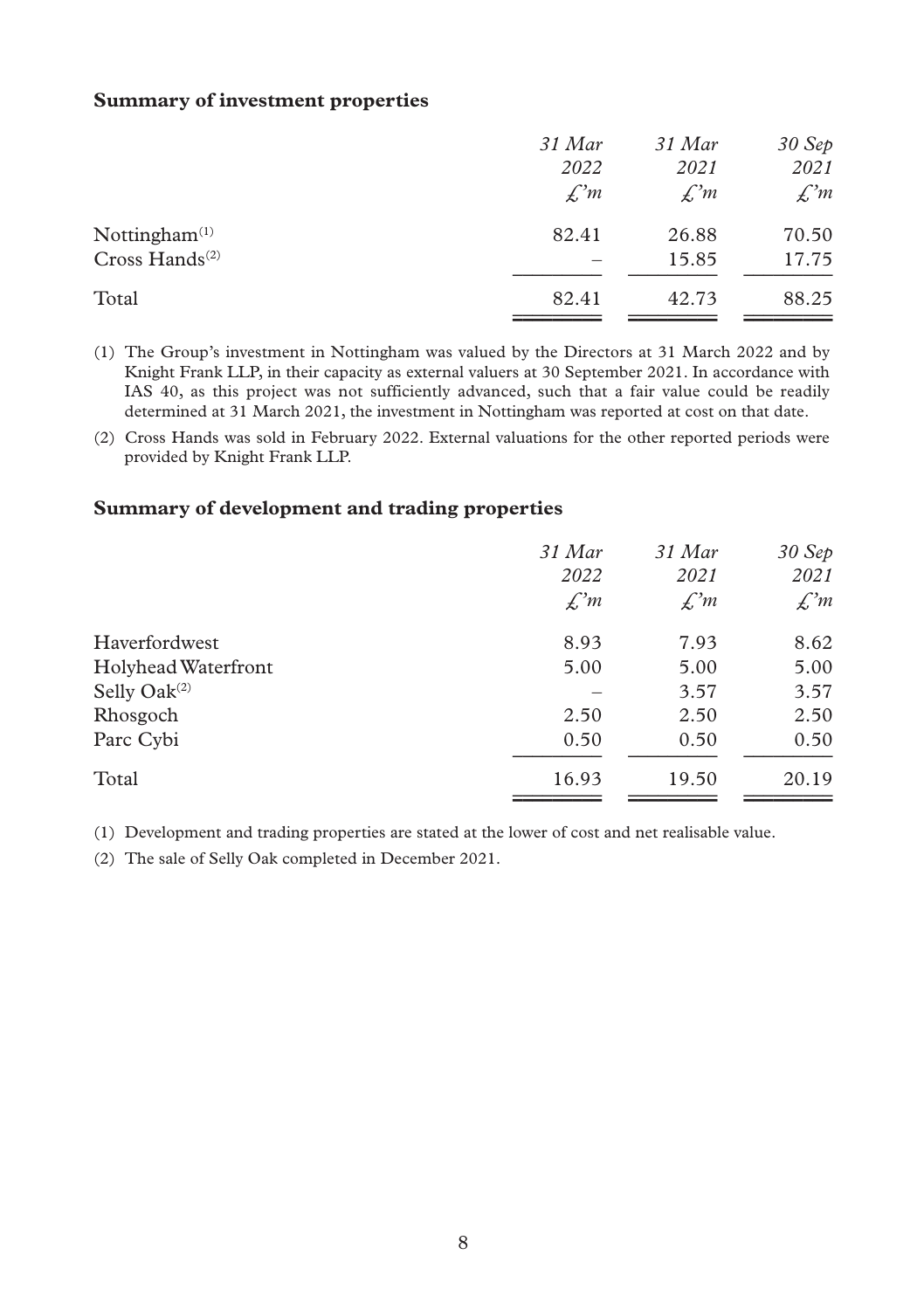#### **Summary of investment properties**

| 31 Mar          | $31$ Mar        | 30 Sep          |
|-----------------|-----------------|-----------------|
| 2022            | 2021            | 2021            |
| $\mathcal{L}^m$ | $\mathcal{L}^m$ | $\mathcal{L}^m$ |
| 82.41           | 26.88           | 70.50           |
|                 | 15.85           | 17.75           |
| 82.41           | 42.73           | 88.25           |
|                 |                 |                 |

(1) The Group's investment in Nottingham was valued by the Directors at 31 March 2022 and by Knight Frank LLP, in their capacity as external valuers at 30 September 2021. In accordance with IAS 40, as this project was not sufficiently advanced, such that a fair value could be readily determined at 31 March 2021, the investment in Nottingham was reported at cost on that date.

(2) Cross Hands was sold in February 2022. External valuations for the other reported periods were provided by Knight Frank LLP.

#### **Summary of development and trading properties**

|                     | $31$ Mar<br>2022 | 31 Mar<br>2021  | 30 Sep<br>2021  |
|---------------------|------------------|-----------------|-----------------|
|                     | $\mathcal{L}^m$  | $\mathcal{L}^m$ | $\mathcal{L}^m$ |
| Haverfordwest       | 8.93             | 7.93            | 8.62            |
| Holyhead Waterfront | 5.00             | 5.00            | 5.00            |
| Selly Oak $(2)$     |                  | 3.57            | 3.57            |
| Rhosgoch            | 2.50             | 2.50            | 2.50            |
| Parc Cybi           | 0.50             | 0.50            | 0.50            |
| Total               | 16.93            | 19.50           | 20.19           |

(1) Development and trading properties are stated at the lower of cost and net realisable value.

(2) The sale of Selly Oak completed in December 2021.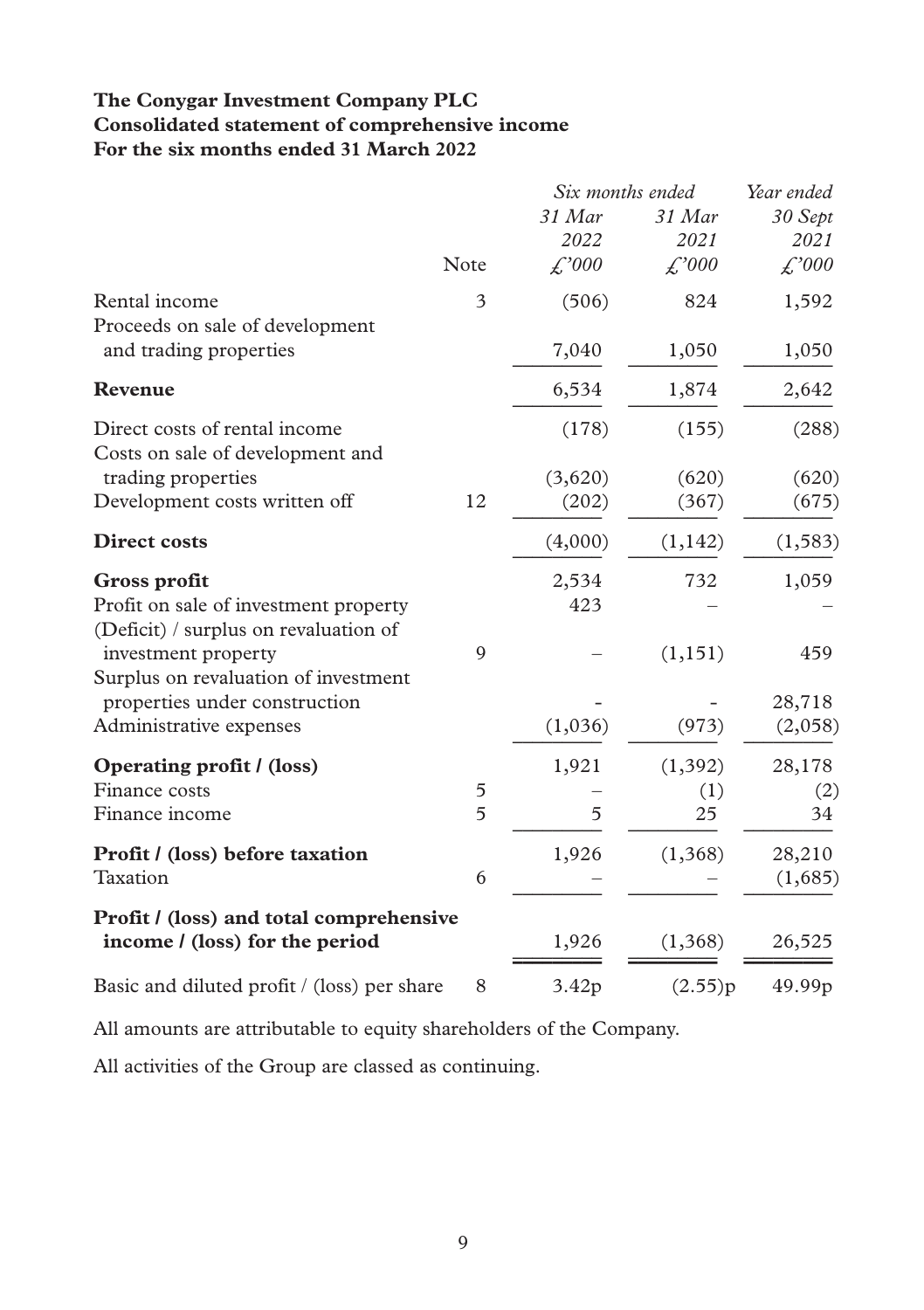### **The Conygar Investment Company PLC Consolidated statement of comprehensive income For the six months ended 31 March 2022**

|                                                                                |      | Six months ended |          | Year ended         |
|--------------------------------------------------------------------------------|------|------------------|----------|--------------------|
|                                                                                |      | 31 Mar           | 31 Mar   | 30 Sept            |
|                                                                                |      | 2022             | 2021     | 2021               |
|                                                                                | Note | f'000            | £,000    | $\mathcal{L}^2000$ |
| Rental income                                                                  | 3    | (506)            | 824      | 1,592              |
| Proceeds on sale of development<br>and trading properties                      |      | 7,040            | 1,050    | 1,050              |
| Revenue                                                                        |      | 6,534            | 1,874    | 2,642              |
| Direct costs of rental income<br>Costs on sale of development and              |      | (178)            | (155)    | (288)              |
| trading properties                                                             |      | (3,620)          | (620)    | (620)              |
| Development costs written off                                                  | 12   | (202)            | (367)    | (675)              |
| <b>Direct costs</b>                                                            |      | (4,000)          | (1,142)  | (1, 583)           |
| Gross profit                                                                   |      | 2,534            | 732      | 1,059              |
| Profit on sale of investment property<br>(Deficit) / surplus on revaluation of |      | 423              |          |                    |
| investment property<br>Surplus on revaluation of investment                    | 9    |                  | (1, 151) | 459                |
| properties under construction                                                  |      |                  |          | 28,718             |
| Administrative expenses                                                        |      | (1,036)          | (973)    | (2,058)            |
| Operating profit / (loss)                                                      |      | 1,921            | (1, 392) | 28,178             |
| Finance costs                                                                  | 5    |                  | (1)      | (2)                |
| Finance income                                                                 | 5    | 5                | 25       | 34                 |
| Profit / (loss) before taxation                                                |      | 1,926            | (1,368)  | 28,210             |
| Taxation                                                                       | 6    |                  |          | (1,685)            |
| Profit / (loss) and total comprehensive                                        |      |                  |          |                    |
| income / (loss) for the period                                                 |      | 1,926            | (1,368)  | 26,525             |
| Basic and diluted profit / (loss) per share                                    | 8    | 3.42p            | (2.55)p  | 49.99p             |

All amounts are attributable to equity shareholders of the Company.

All activities of the Group are classed as continuing.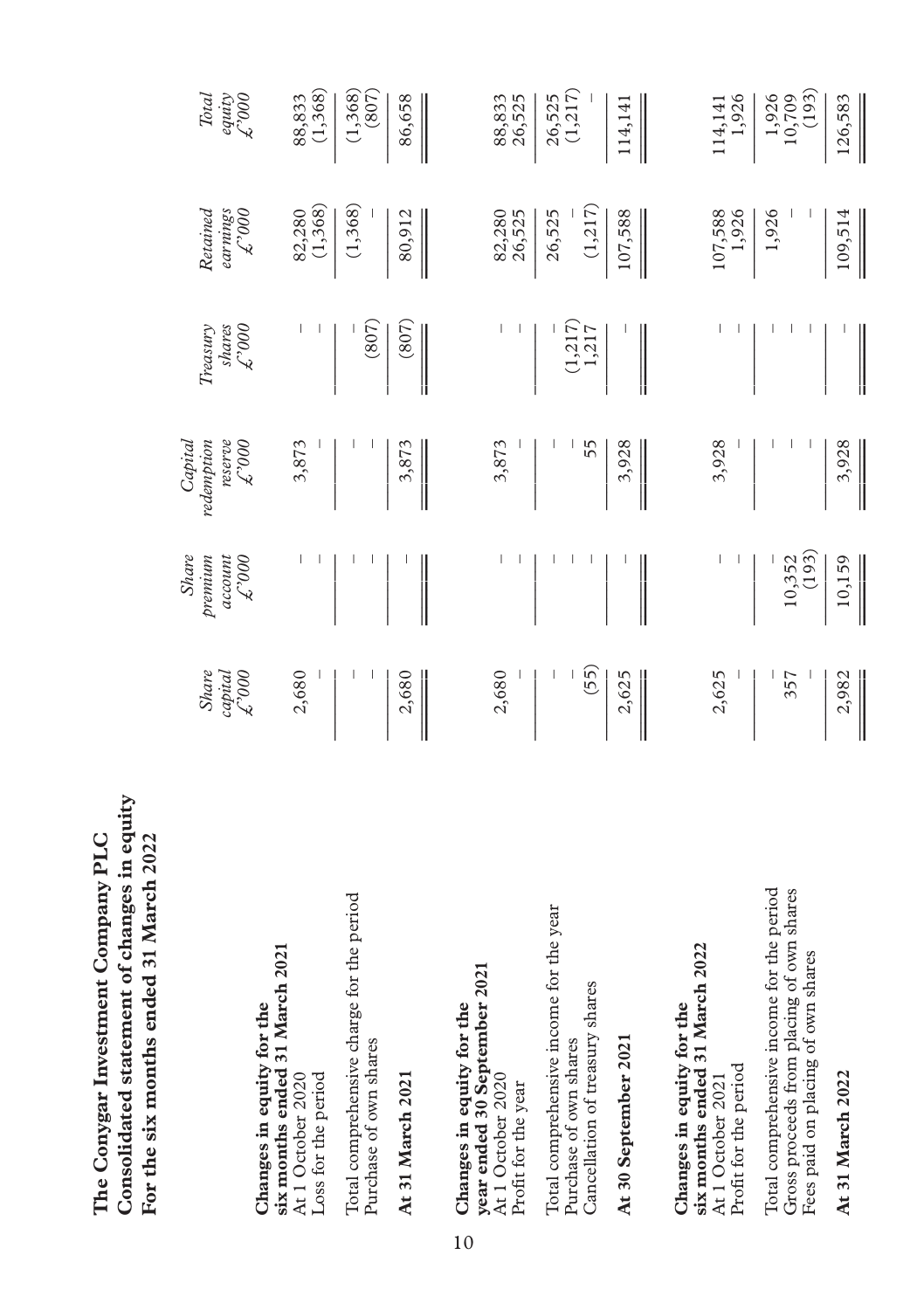| 7707 UDE SIX MONITE SING COLOR SERVICE                                                                                       |                                                |                                                     |                                                     |                                     |                                  |                                                |
|------------------------------------------------------------------------------------------------------------------------------|------------------------------------------------|-----------------------------------------------------|-----------------------------------------------------|-------------------------------------|----------------------------------|------------------------------------------------|
|                                                                                                                              | <b>Share</b><br>$\mathcal{L}^{000}$<br>capital | <b>Share</b><br>preminm<br>$600\sqrt{5}$<br>account | redefinition<br>reserve<br>Capital<br>$600\sqrt{2}$ | shares<br>$600\sqrt{2}$<br>Treasury | Retained<br>earnings<br>$000c^2$ | <b>Total</b><br>equity<br>$\mathcal{L}^{3000}$ |
| six months ended 31 March 2021<br>Changes in equity for the<br>Loss for the period<br>At 1 October 2020                      | 2,680                                          |                                                     | 3,873                                               |                                     | (1,368)<br>82,280                | (1,368)<br>88,833                              |
| Total comprehensive charge for the period<br>Purchase of own shares                                                          |                                                |                                                     |                                                     | (807)                               | (1,368)                          | (1,368)<br>(807)                               |
| At 31 March 2021                                                                                                             | 2,680                                          |                                                     | 3,873                                               | (807)                               | 80,912                           | 86,658                                         |
| year ended 30 September 2021<br>Changes in equity for the<br>At 1 October 2020<br>Profit for the year                        | 2,680                                          | ı                                                   | 3,873                                               |                                     | 82,280<br>26,525                 | 88,833<br>26,525                               |
| Total comprehensive income for the year<br>Cancellation of treasury shares<br>Purchase of own shares                         | (55)<br>ı                                      |                                                     | 55                                                  | (1, 217)<br>1,217                   | (1, 217)<br>26,525               | (1, 217)<br>26,525                             |
| At 30 September 2021                                                                                                         | 2,625                                          |                                                     | 3,928                                               |                                     | 107,588                          | 114,141                                        |
| six months ended 31 March 2022<br>Changes in equity for the<br>Profit for the period<br>At 1 October 2021                    | 2,625                                          |                                                     | 3,928                                               |                                     | 107,588<br>1,926                 | 1,926<br>114,141                               |
| Total comprehensive income for the period<br>Gross proceeds from placing of own shares<br>Fees paid on placing of own shares | 357                                            | (193)<br>10,352                                     |                                                     |                                     | 1,926                            | (193)<br>1,926<br>10,709                       |
| At 31 March 2022                                                                                                             | 2,982                                          | 10,159                                              | 3,928                                               |                                     | 109,514                          | 126,583                                        |

Consolidated statement of changes in equity<br>Example 2.1 Manages in the pair of the state of the contract of  $\frac{1}{2}$ **Consolidated statement of changes in equity** The Conygar Investment Company PLC **The Conygar Investment Company PLC For the six months ended 31 March 2022**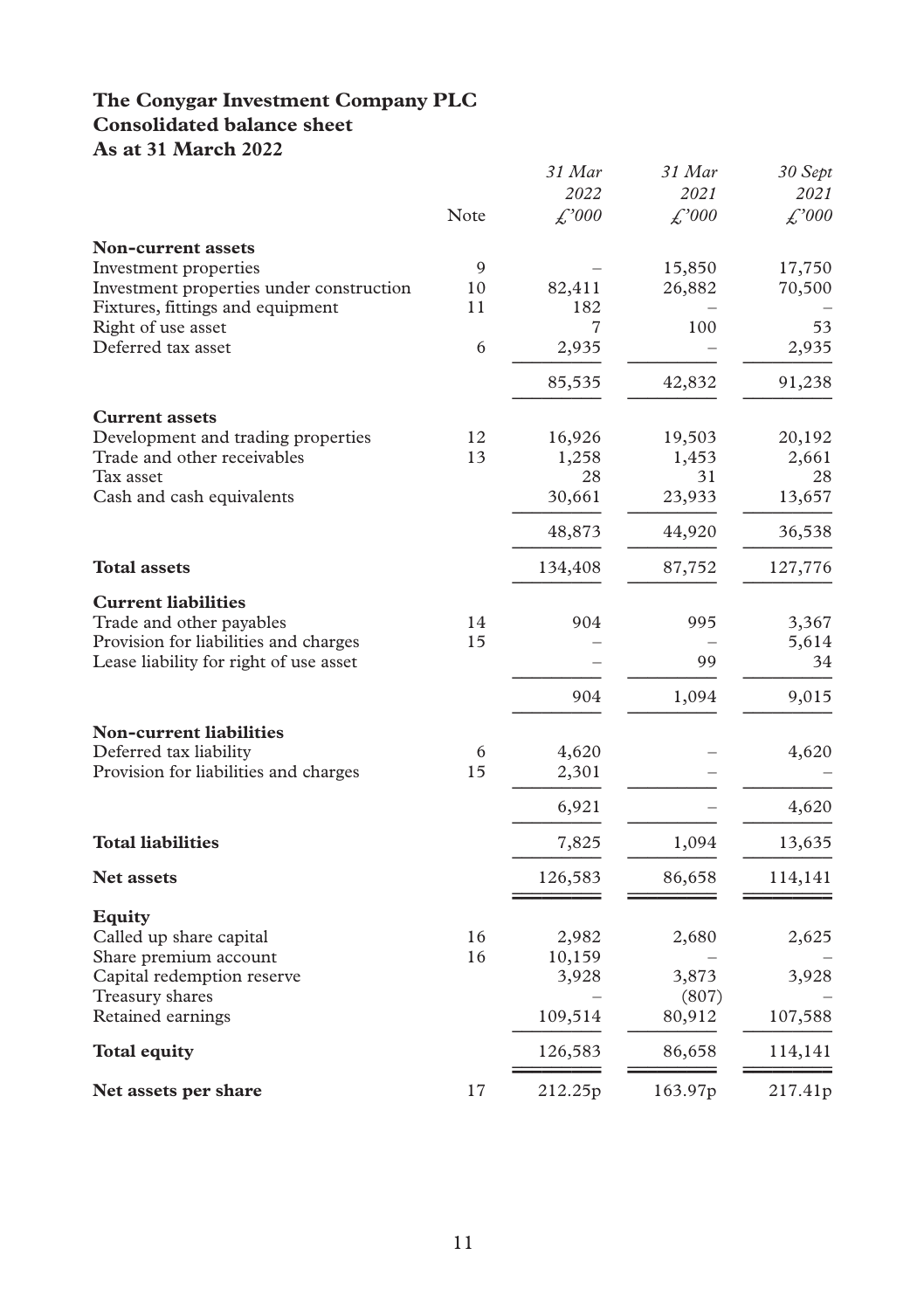### **The Conygar Investment Company PLC Consolidated balance sheet As at 31 March 2022**

| 113 at 31 Indich 2022                         |      | 31 Mar<br>2022     | 31 Mar                     | 30 Sept       |
|-----------------------------------------------|------|--------------------|----------------------------|---------------|
|                                               | Note | $\mathcal{L}^2000$ | 2021<br>$\mathcal{L}^2000$ | 2021<br>f'000 |
| <b>Non-current assets</b>                     |      |                    |                            |               |
| Investment properties                         | 9    |                    | 15,850                     | 17,750        |
| Investment properties under construction      | 10   | 82,411             | 26,882                     | 70,500        |
| Fixtures, fittings and equipment              | 11   | 182                |                            |               |
| Right of use asset                            |      | 7                  | 100                        | 53            |
| Deferred tax asset                            | 6    | 2,935              |                            | 2,935         |
|                                               |      | 85,535             | 42,832                     | 91,238        |
| <b>Current assets</b>                         |      |                    |                            |               |
| Development and trading properties            | 12   | 16,926             | 19,503                     | 20,192        |
| Trade and other receivables                   | 13   | 1,258              | 1,453                      | 2,661         |
| Tax asset                                     |      | 28                 | 31                         | 28            |
| Cash and cash equivalents                     |      | 30,661             | 23,933                     | 13,657        |
|                                               |      | 48,873             | 44,920                     | 36,538        |
| <b>Total assets</b>                           |      | 134,408            | 87,752                     | 127,776       |
| <b>Current liabilities</b>                    |      |                    |                            |               |
| Trade and other payables                      | 14   | 904                | 995                        | 3,367         |
| Provision for liabilities and charges         | 15   |                    |                            | 5,614         |
| Lease liability for right of use asset        |      |                    | 99                         | 34            |
|                                               |      | 904                | 1,094                      | 9,015         |
| <b>Non-current liabilities</b>                |      |                    |                            |               |
| Deferred tax liability                        | 6    | 4,620              |                            | 4,620         |
| Provision for liabilities and charges         | 15   | 2,301              |                            |               |
|                                               |      | 6,921              |                            | 4,620         |
| <b>Total liabilities</b>                      |      | 7,825              | 1,094                      | 13,635        |
| <b>Net assets</b>                             |      | 126,583            | 86,658                     | 114,141       |
|                                               |      |                    |                            |               |
| <b>Equity</b>                                 |      |                    |                            |               |
| Called up share capital                       | 16   | 2,982              | 2,680                      | 2,625         |
| Share premium account                         | 16   | 10,159             |                            |               |
| Capital redemption reserve<br>Treasury shares |      | 3,928              | 3,873                      | 3,928         |
| Retained earnings                             |      | 109,514            | (807)<br>80,912            | 107,588       |
| <b>Total equity</b>                           |      | 126,583            | 86,658                     | 114,141       |
| Net assets per share                          | 17   | 212.25p            | 163.97p                    | 217.41p       |
|                                               |      |                    |                            |               |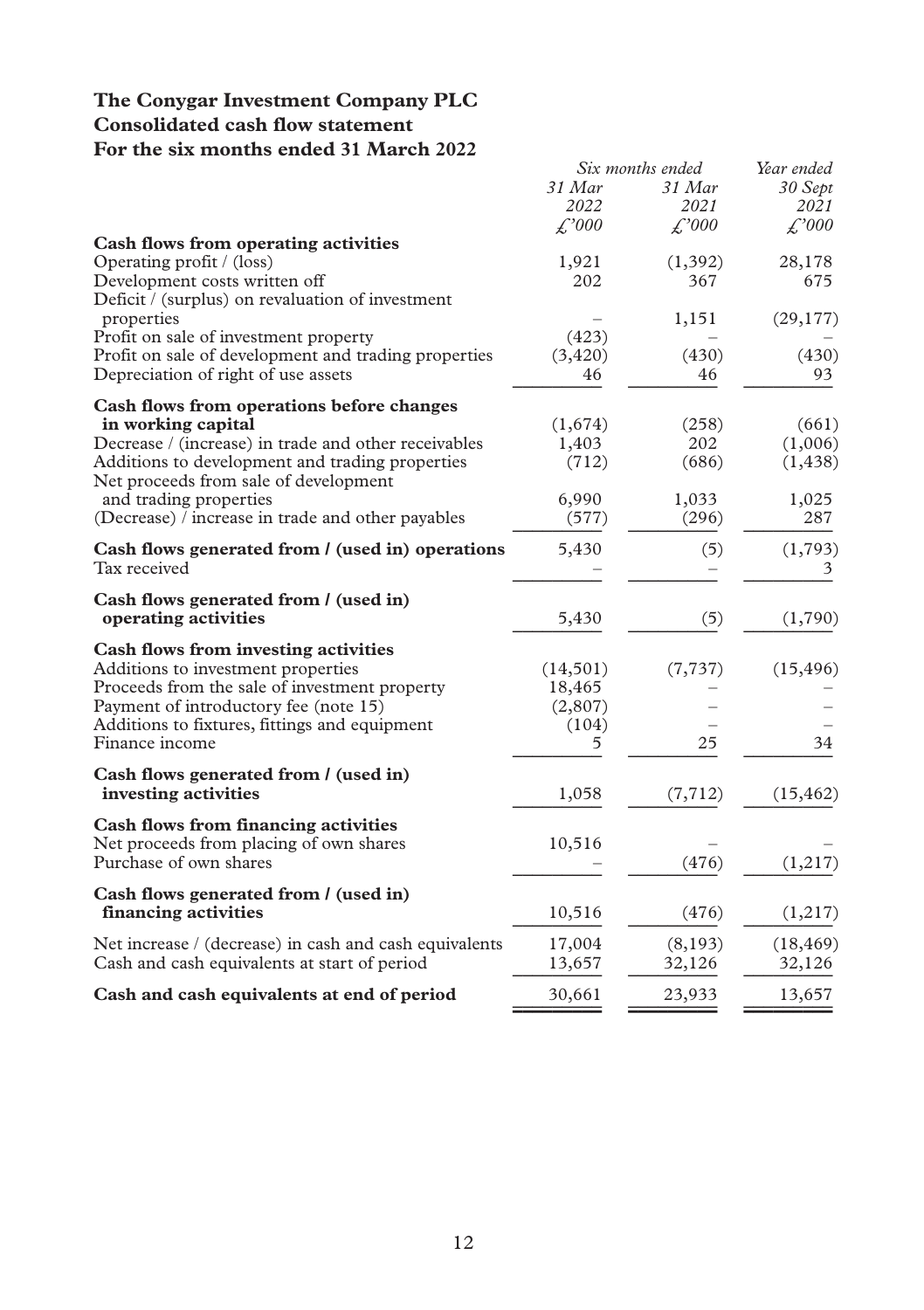### **The Conygar Investment Company PLC Consolidated cash flow statement For the six months ended 31 March 2022**

| For the six months ended 31 march 2022                 |                    | Six months ended   | Year ended         |  |  |
|--------------------------------------------------------|--------------------|--------------------|--------------------|--|--|
|                                                        | 31 Mar             | 31 Mar             | 30 Sept            |  |  |
|                                                        | 2022               | 2021               | 2021               |  |  |
| Cash flows from operating activities                   | $\mathcal{L}^2000$ | $\mathcal{L}^2000$ | $\mathcal{L}^2000$ |  |  |
| Operating profit / (loss)                              | 1,921              | (1, 392)           | 28,178             |  |  |
| Development costs written off                          | 202                | 367                | 675                |  |  |
| Deficit / (surplus) on revaluation of investment       |                    |                    |                    |  |  |
| properties                                             |                    | 1,151              | (29, 177)          |  |  |
| Profit on sale of investment property                  | (423)              |                    |                    |  |  |
| Profit on sale of development and trading properties   | (3,420)            | (430)              | (430)              |  |  |
| Depreciation of right of use assets                    | 46                 | 46                 | 93                 |  |  |
| Cash flows from operations before changes              |                    |                    |                    |  |  |
| in working capital                                     | (1,674)            | (258)              | (661)              |  |  |
| Decrease / (increase) in trade and other receivables   | 1,403              | 202                | (1,006)            |  |  |
| Additions to development and trading properties        | (712)              | (686)              | (1, 438)           |  |  |
| Net proceeds from sale of development                  |                    |                    |                    |  |  |
| and trading properties                                 | 6,990              | 1,033              | 1,025              |  |  |
| (Decrease) / increase in trade and other payables      | (577)              | (296)              | 287                |  |  |
| Cash flows generated from / (used in) operations       | 5,430              | (5)                | (1,793)            |  |  |
| Tax received                                           |                    |                    | 3                  |  |  |
| Cash flows generated from / (used in)                  |                    |                    |                    |  |  |
| operating activities                                   | 5,430              | (5)                | (1,790)            |  |  |
| Cash flows from investing activities                   |                    |                    |                    |  |  |
| Additions to investment properties                     | (14,501)           | (7, 737)           | (15, 496)          |  |  |
| Proceeds from the sale of investment property          | 18,465             |                    |                    |  |  |
| Payment of introductory fee (note 15)                  | (2,807)            |                    |                    |  |  |
| Additions to fixtures, fittings and equipment          | (104)              |                    |                    |  |  |
| Finance income                                         | 5.                 | 25                 | 34                 |  |  |
| Cash flows generated from / (used in)                  |                    |                    |                    |  |  |
| investing activities                                   | 1,058              | (7, 712)           | (15, 462)          |  |  |
| Cash flows from financing activities                   |                    |                    |                    |  |  |
| Net proceeds from placing of own shares                | 10,516             |                    |                    |  |  |
| Purchase of own shares                                 |                    | (476)              | (1,217)            |  |  |
| Cash flows generated from / (used in)                  |                    |                    |                    |  |  |
| financing activities                                   | 10,516             | (476)              | (1,217)            |  |  |
| Net increase / (decrease) in cash and cash equivalents | 17,004             | (8,193)            | (18, 469)          |  |  |
| Cash and cash equivalents at start of period           | 13,657             | 32,126             | 32,126             |  |  |
| Cash and cash equivalents at end of period             | 30,661             | 23,933             | 13,657             |  |  |
|                                                        |                    |                    |                    |  |  |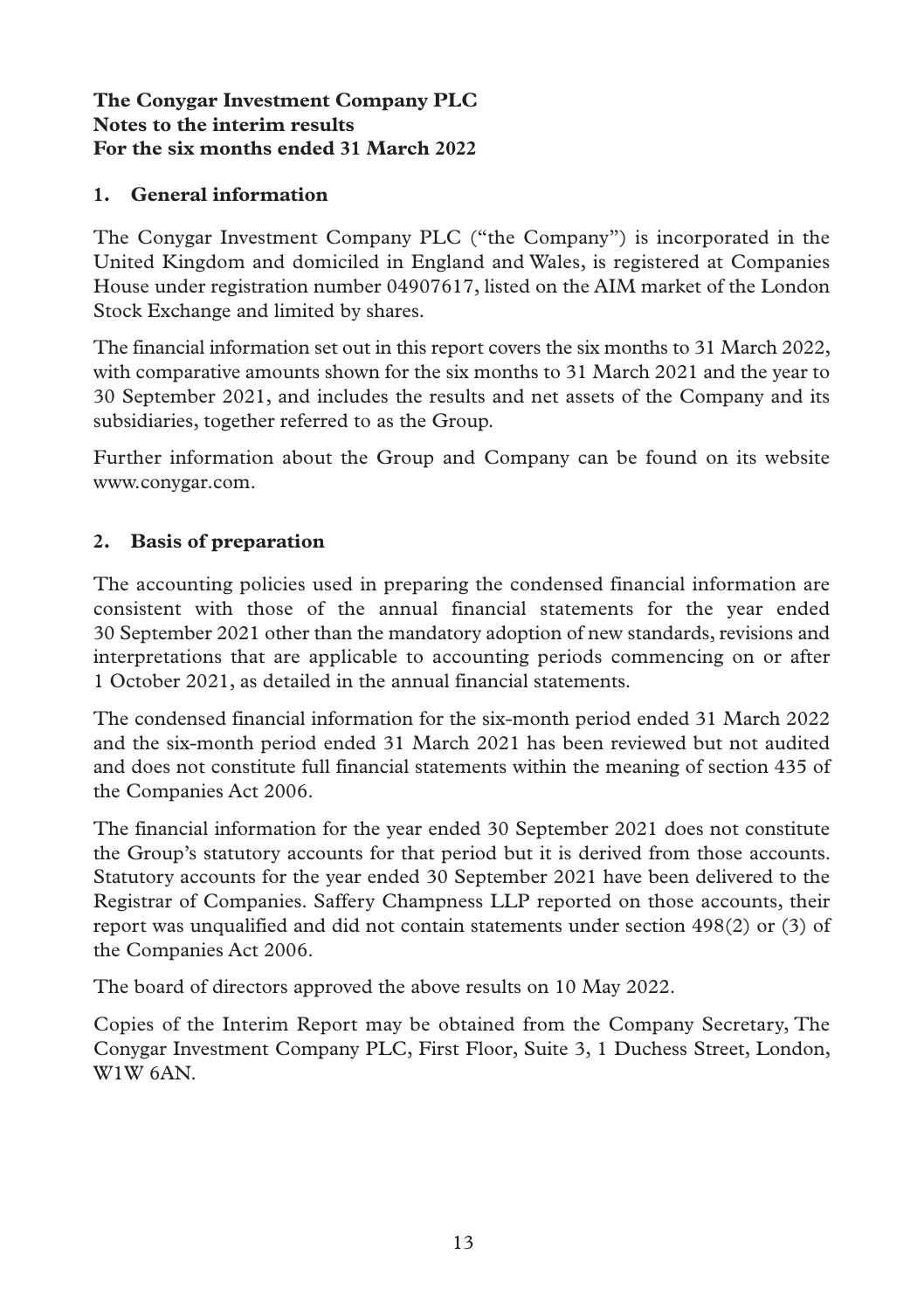## **1. General information**

The Conygar Investment Company PLC ("the Company") is incorporated in the United Kingdom and domiciled in England and Wales, is registered at Companies House under registration number 04907617, listed on the AIM market of the London Stock Exchange and limited by shares.

The financial information set out in this report covers the six months to 31 March 2022, with comparative amounts shown for the six months to 31 March 2021 and the year to 30 September 2021, and includes the results and net assets of the Company and its subsidiaries, together referred to as the Group.

Further information about the Group and Company can be found on its website www.conygar.com.

### **2. Basis of preparation**

The accounting policies used in preparing the condensed financial information are consistent with those of the annual financial statements for the year ended 30 September 2021 other than the mandatory adoption of new standards, revisions and interpretations that are applicable to accounting periods commencing on or after 1 October 2021, as detailed in the annual financial statements.

The condensed financial information for the six-month period ended 31 March 2022 and the six-month period ended 31 March 2021 has been reviewed but not audited and does not constitute full financial statements within the meaning of section 435 of the Companies Act 2006.

The financial information for the year ended 30 September 2021 does not constitute the Group's statutory accounts for that period but it is derived from those accounts. Statutory accounts for the year ended 30 September 2021 have been delivered to the Registrar of Companies. Saffery Champness LLP reported on those accounts, their report was unqualified and did not contain statements under section 498(2) or (3) of the Companies Act 2006.

The board of directors approved the above results on 10 May 2022.

Copies of the Interim Report may be obtained from the Company Secretary, The Conygar Investment Company PLC, First Floor, Suite 3, 1 Duchess Street, London, W<sub>1</sub>W<sub>6</sub>A<sub>N</sub>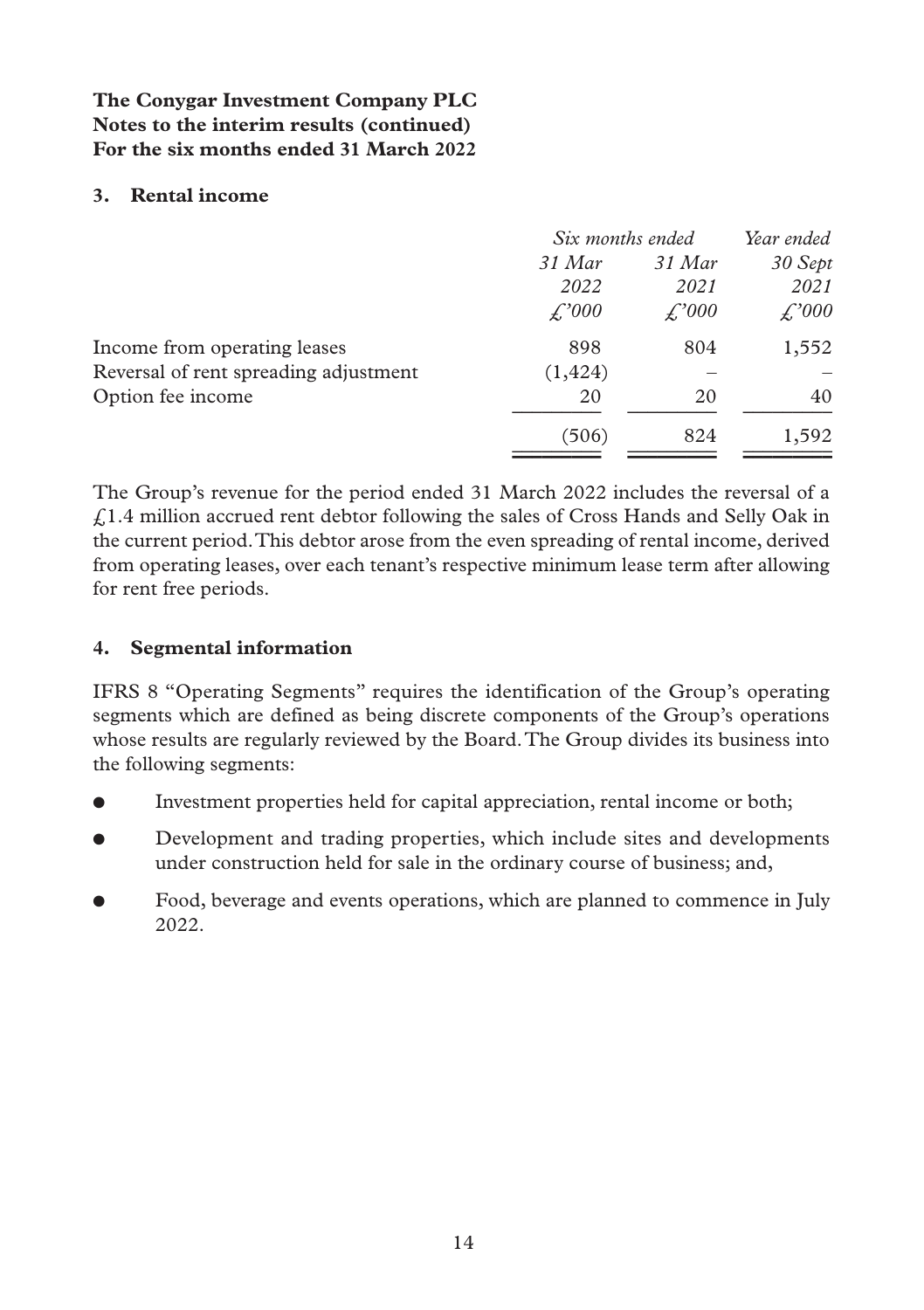### **3. Rental income**

|          | Six months ended |              |  |
|----------|------------------|--------------|--|
| 31 Mar   | 31 Mar           | 30 Sept      |  |
| 2022     | 2021             | 2021         |  |
| £,'000   | £,'000           | $\angle 000$ |  |
| 898      | 804              | 1,552        |  |
| (1, 424) |                  |              |  |
| 20       | 20               | 40           |  |
| (506)    | 824              | 1,592        |  |
|          |                  |              |  |

The Group's revenue for the period ended 31 March 2022 includes the reversal of a £1.4 million accrued rent debtor following the sales of Cross Hands and Selly Oak in the current period. This debtor arose from the even spreading of rental income, derived from operating leases, over each tenant's respective minimum lease term after allowing for rent free periods.

## **4. Segmental information**

IFRS 8 "Operating Segments" requires the identification of the Group's operating segments which are defined as being discrete components of the Group's operations whose results are regularly reviewed by the Board. The Group divides its business into the following segments:

- Investment properties held for capital appreciation, rental income or both;
- **•** Development and trading properties, which include sites and developments under construction held for sale in the ordinary course of business; and,
- Food, beverage and events operations, which are planned to commence in July 2022.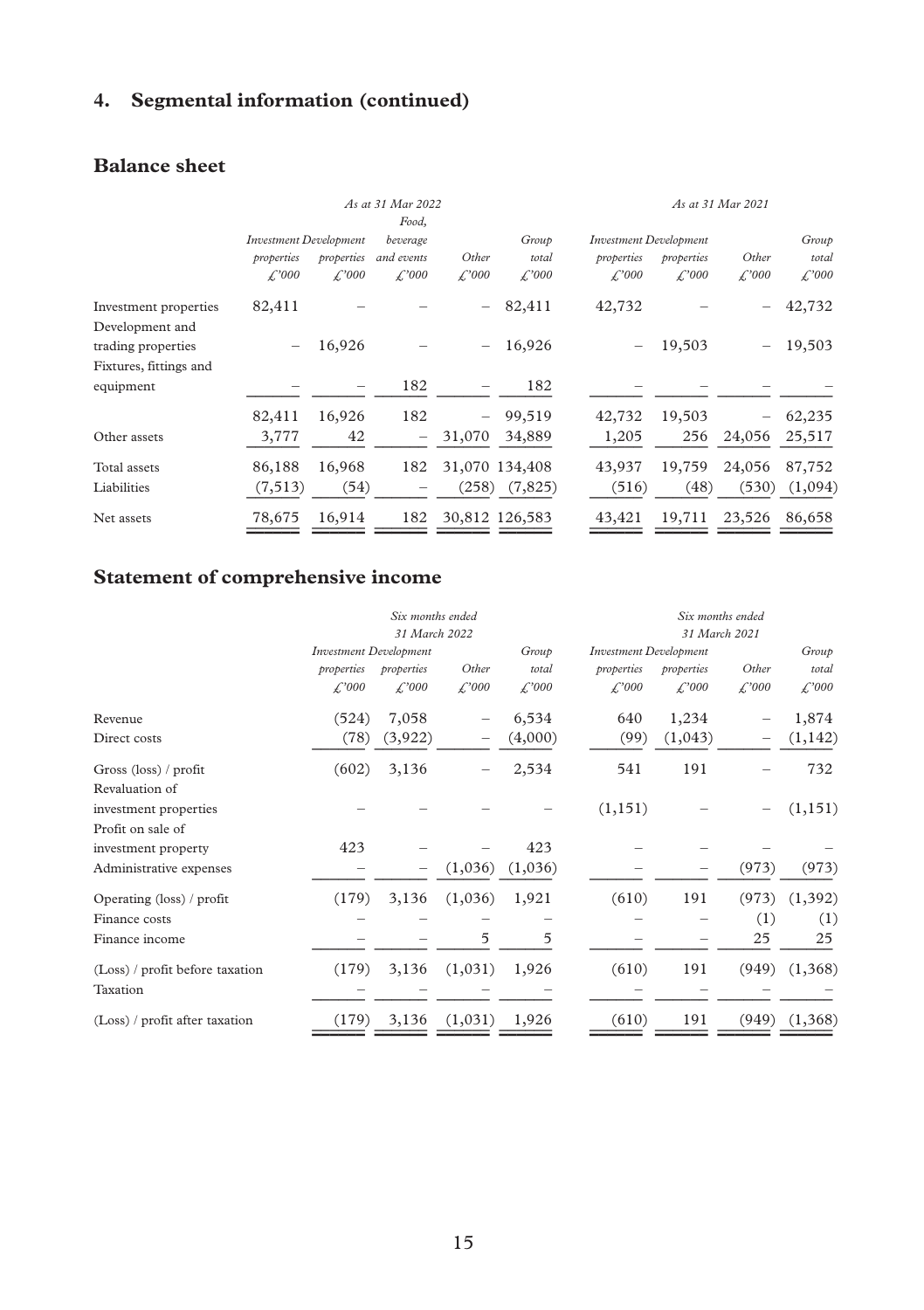# **4. Segmental information (continued)**

# **Balance sheet**

|                                              | As at 31 Mar 2022                 |                                    |                                    |                               |                                     | As at 31 Mar 2021                  |                               |                                    |                             |
|----------------------------------------------|-----------------------------------|------------------------------------|------------------------------------|-------------------------------|-------------------------------------|------------------------------------|-------------------------------|------------------------------------|-----------------------------|
|                                              | <b>Investment Development</b>     |                                    | Food,<br>beverage                  |                               | Group                               |                                    | <b>Investment Development</b> |                                    | Group                       |
|                                              | properties<br>$\mathcal{L}^{000}$ | properties<br>$\mathcal{L}^{2000}$ | and events<br>$\mathcal{L}^{2000}$ | Other<br>$\mathcal{L}^{2000}$ | total<br>$\mathcal{L}^2000$         | properties<br>$\mathcal{L}^{2000}$ | properties<br>f.'000          | Other<br>$\mathcal{L}^{2000}$      | total<br>$\mathcal{L}^2000$ |
| Investment properties<br>Development and     | 82,411                            |                                    |                                    |                               | 82,411                              | 42,732                             |                               |                                    | 42,732                      |
| trading properties<br>Fixtures, fittings and |                                   | 16,926                             |                                    | $\qquad \qquad -$             | 16,926                              |                                    | 19,503                        |                                    | 19,503                      |
| equipment                                    |                                   |                                    | 182                                |                               | 182                                 |                                    |                               |                                    |                             |
| Other assets                                 | 82,411<br>3,777                   | 16,926<br>42                       | 182<br>$\overline{\phantom{0}}$    | $ \,$<br>31,070               | 99,519<br>34,889                    | 42,732<br>1,205                    | 19,503<br>256                 | $\overline{\phantom{0}}$<br>24,056 | 62,235<br>25,517            |
| Total assets<br>Liabilities                  | 86,188<br>(7, 513)                | 16,968<br>(54)                     | 182                                |                               | 31,070 134,408<br>$(258)$ $(7,825)$ | 43,937<br>(516)                    | 19,759<br>(48)                | 24,056<br>(530)                    | 87,752<br>(1,094)           |
| Net assets                                   | 78,675                            | 16,914                             | 182                                | 30,812 126,583                |                                     | 43,421                             | 19,711                        | 23,526                             | 86,658                      |

# **Statement of comprehensive income**

|                                 |                               | Six months ended     |                      |                     |                               |                     | Six months ended     |                      |  |
|---------------------------------|-------------------------------|----------------------|----------------------|---------------------|-------------------------------|---------------------|----------------------|----------------------|--|
|                                 |                               | 31 March 2022        |                      |                     |                               | 31 March 2021       |                      |                      |  |
|                                 | <b>Investment Development</b> |                      |                      | Group               | <b>Investment Development</b> |                     |                      | Group                |  |
|                                 | properties                    | properties           | Other                | total               | properties                    | properties          | Other                | total                |  |
|                                 | $\mathcal{L}^2000$            | $\mathcal{L}^{2000}$ | $\mathcal{L}^{2000}$ | $\mathcal{L}^{000}$ | $\mathcal{L}^2000$            | $\mathcal{L}^{000}$ | $\mathcal{L}^{2000}$ | $\mathcal{L}^{2000}$ |  |
| Revenue                         | (524)                         | 7,058                |                      | 6,534               | 640                           | 1,234               |                      | 1,874                |  |
| Direct costs                    | (78)                          | (3,922)              |                      | (4,000)             | (99)                          | (1,043)             |                      | (1, 142)             |  |
| Gross $(\text{loss})$ / profit  | (602)                         | 3,136                |                      | 2,534               | 541                           | 191                 |                      | 732                  |  |
| Revaluation of                  |                               |                      |                      |                     |                               |                     |                      |                      |  |
| investment properties           |                               |                      |                      |                     | (1, 151)                      |                     |                      | (1, 151)             |  |
| Profit on sale of               |                               |                      |                      |                     |                               |                     |                      |                      |  |
| investment property             | 423                           |                      |                      | 423                 |                               |                     |                      |                      |  |
| Administrative expenses         |                               |                      | (1,036)              | (1,036)             |                               |                     | (973)                | (973)                |  |
| Operating (loss) / profit       | (179)                         | 3,136                | (1,036)              | 1,921               | (610)                         | 191                 | (973)                | (1, 392)             |  |
| Finance costs                   |                               |                      |                      |                     |                               |                     | (1)                  | (1)                  |  |
| Finance income                  |                               |                      | 5                    | 5                   |                               |                     | 25                   | 25                   |  |
| (Loss) / profit before taxation | (179)                         | 3,136                | (1,031)              | 1,926               | (610)                         | 191                 | (949)                | (1,368)              |  |
| Taxation                        |                               |                      |                      |                     |                               |                     |                      |                      |  |
| (Loss) / profit after taxation  | (179)                         | 3,136                | (1,031)              | 1,926               | (610)                         | 191                 | (949)                | (1, 368)             |  |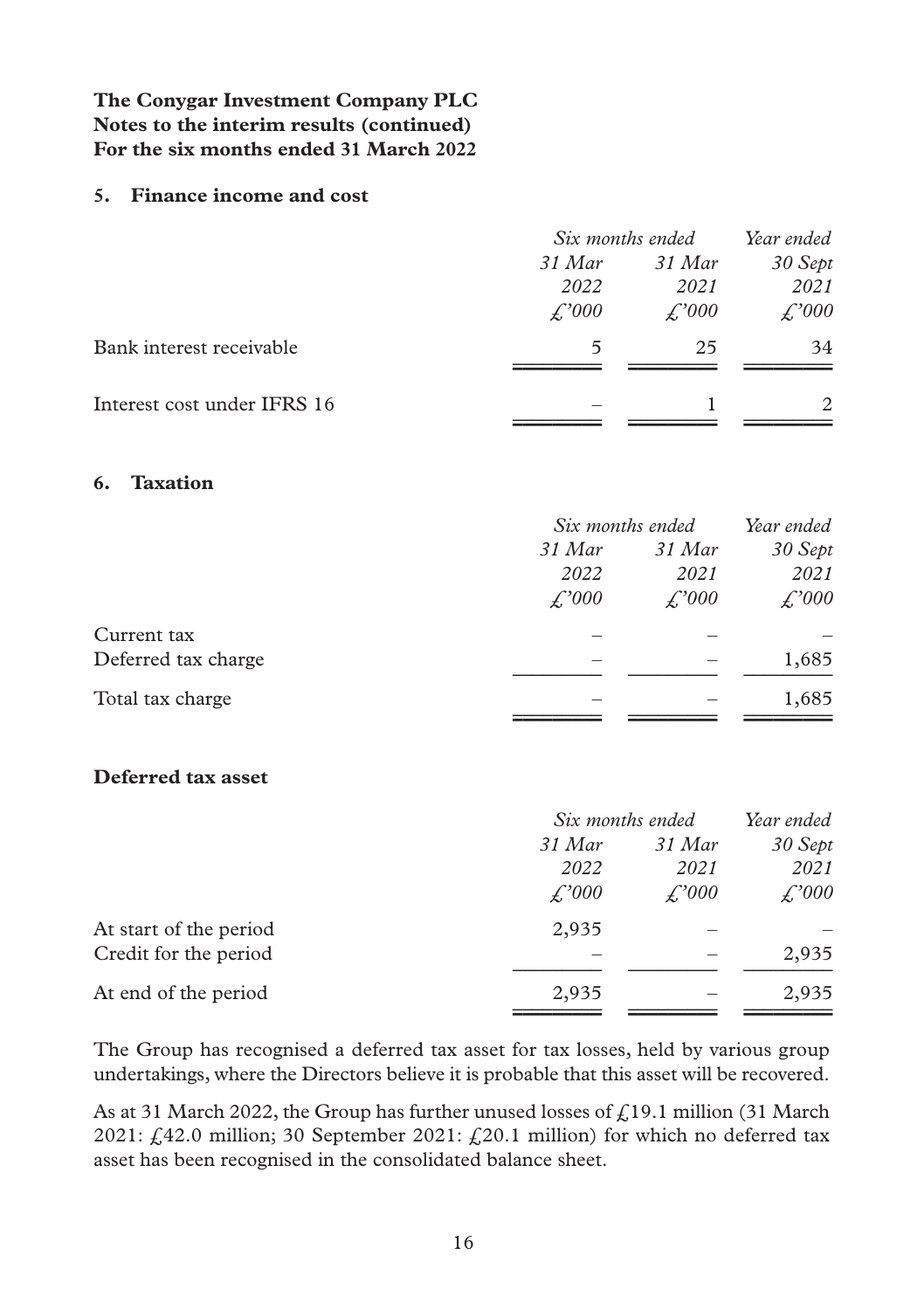#### **5. Finance income and cost**

|                             |              | Six months ended | Year ended                  |
|-----------------------------|--------------|------------------|-----------------------------|
|                             | 31 Mar       | 31 Mar           | 30 Sept                     |
|                             | 2022         | 2021             | 2021                        |
|                             | $\angle 000$ | $\angle 000$     | $\angle 000$                |
| Bank interest receivable    | 5            | 25               | 34                          |
| Interest cost under IFRS 16 |              |                  | $\mathcal{D}_{\mathcal{L}}$ |

#### **6. Taxation**

|                     |              | Six months ended |              |
|---------------------|--------------|------------------|--------------|
|                     | 31 Mar       | 31 Mar           | 30 Sept      |
|                     | 2022         | 2021             | 2021         |
|                     | $\angle 000$ | £,'000           | $\angle 000$ |
| Current tax         |              |                  |              |
| Deferred tax charge |              |                  | 1,685        |
| Total tax charge    |              |                  | 1,685        |

#### **Deferred tax asset**

|                        |              | Six months ended | Year ended   |
|------------------------|--------------|------------------|--------------|
|                        | 31 Mar       | 31 Mar           | 30 Sept      |
|                        | 2022         | 2021             | 2021         |
|                        | $\angle 000$ | $\angle 000$     | $\angle 000$ |
| At start of the period | 2,935        |                  |              |
| Credit for the period  |              |                  | 2,935        |
| At end of the period   | 2,935        |                  | 2,935        |
|                        |              |                  |              |

The Group has recognised a deferred tax asset for tax losses, held by various group undertakings, where the Directors believe it is probable that this asset will be recovered.

As at 31 March 2022, the Group has further unused losses of  $\mathcal{L}$ 19.1 million (31 March 2021:  $f<sub>1</sub>42.0$  million; 30 September 2021:  $f<sub>2</sub>20.1$  million) for which no deferred tax asset has been recognised in the consolidated balance sheet.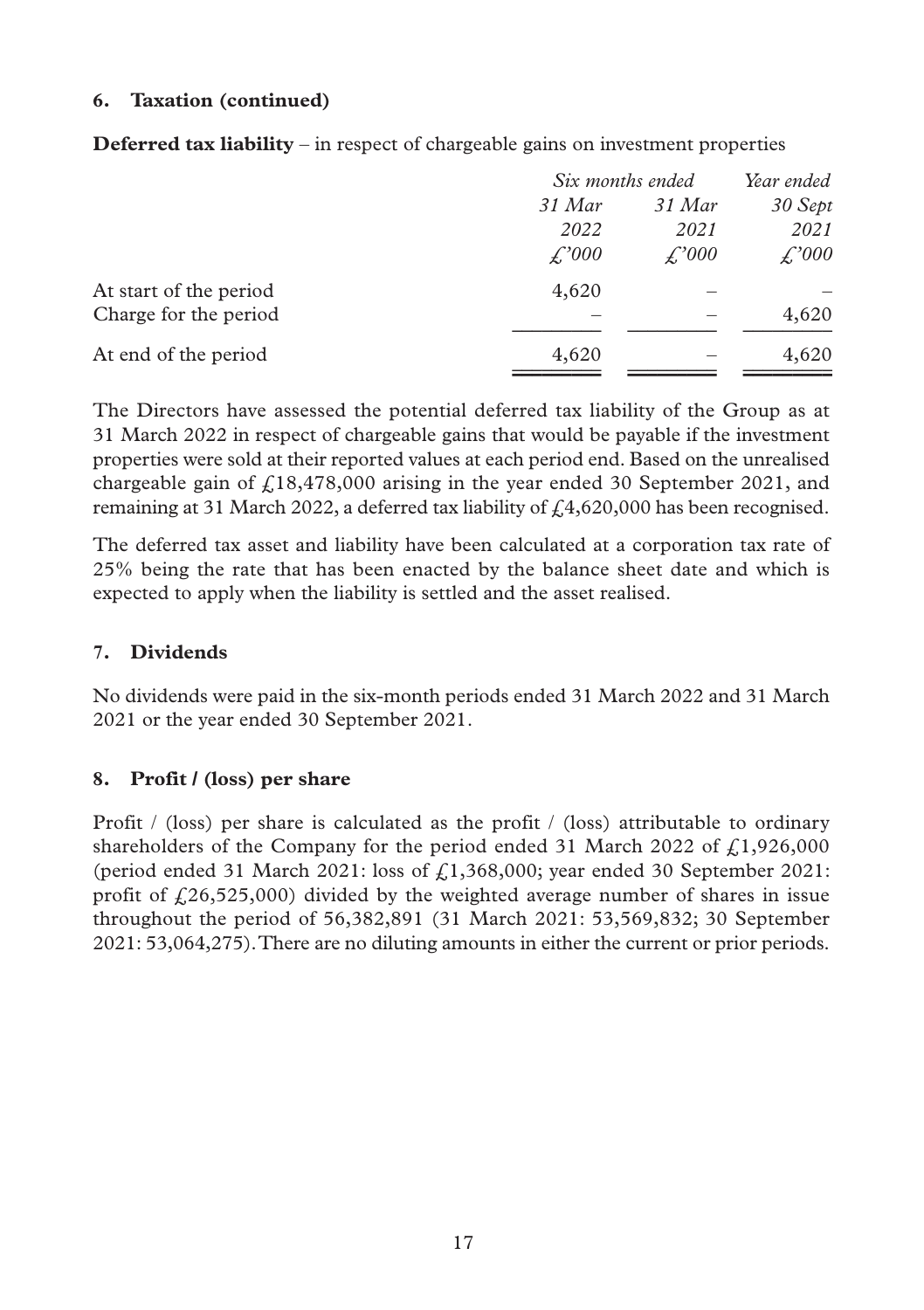#### **6. Taxation (continued)**

|                        |              | Six months ended |         |
|------------------------|--------------|------------------|---------|
|                        | 31 Mar       | 31 Mar           | 30 Sept |
|                        | 2022         | 2021             | 2021    |
|                        | $\angle 000$ | $\angle 000$     | £,'000  |
| At start of the period | 4,620        |                  |         |
| Charge for the period  |              |                  | 4,620   |
| At end of the period   | 4,620        |                  | 4,620   |
|                        |              |                  |         |

**Deferred tax liability** – in respect of chargeable gains on investment properties

The Directors have assessed the potential deferred tax liability of the Group as at 31 March 2022 in respect of chargeable gains that would be payable if the investment properties were sold at their reported values at each period end. Based on the unrealised chargeable gain of  $f(18,478,000)$  arising in the year ended 30 September 2021, and remaining at 31 March 2022, a deferred tax liability of  $\mathcal{L}4,620,000$  has been recognised.

The deferred tax asset and liability have been calculated at a corporation tax rate of 25% being the rate that has been enacted by the balance sheet date and which is expected to apply when the liability is settled and the asset realised.

### **7. Dividends**

No dividends were paid in the six-month periods ended 31 March 2022 and 31 March 2021 or the year ended 30 September 2021.

#### **8. Profit / (loss) per share**

Profit / (loss) per share is calculated as the profit / (loss) attributable to ordinary shareholders of the Company for the period ended 31 March 2022 of  $f.1,926,000$ (period ended 31 March 2021: loss of  $f<sub>i</sub>1,368,000$ ; year ended 30 September 2021: profit of  $\ell$ 26,525,000) divided by the weighted average number of shares in issue throughout the period of 56,382,891 (31 March 2021: 53,569,832; 30 September 2021: 53,064,275). There are no diluting amounts in either the current or prior periods.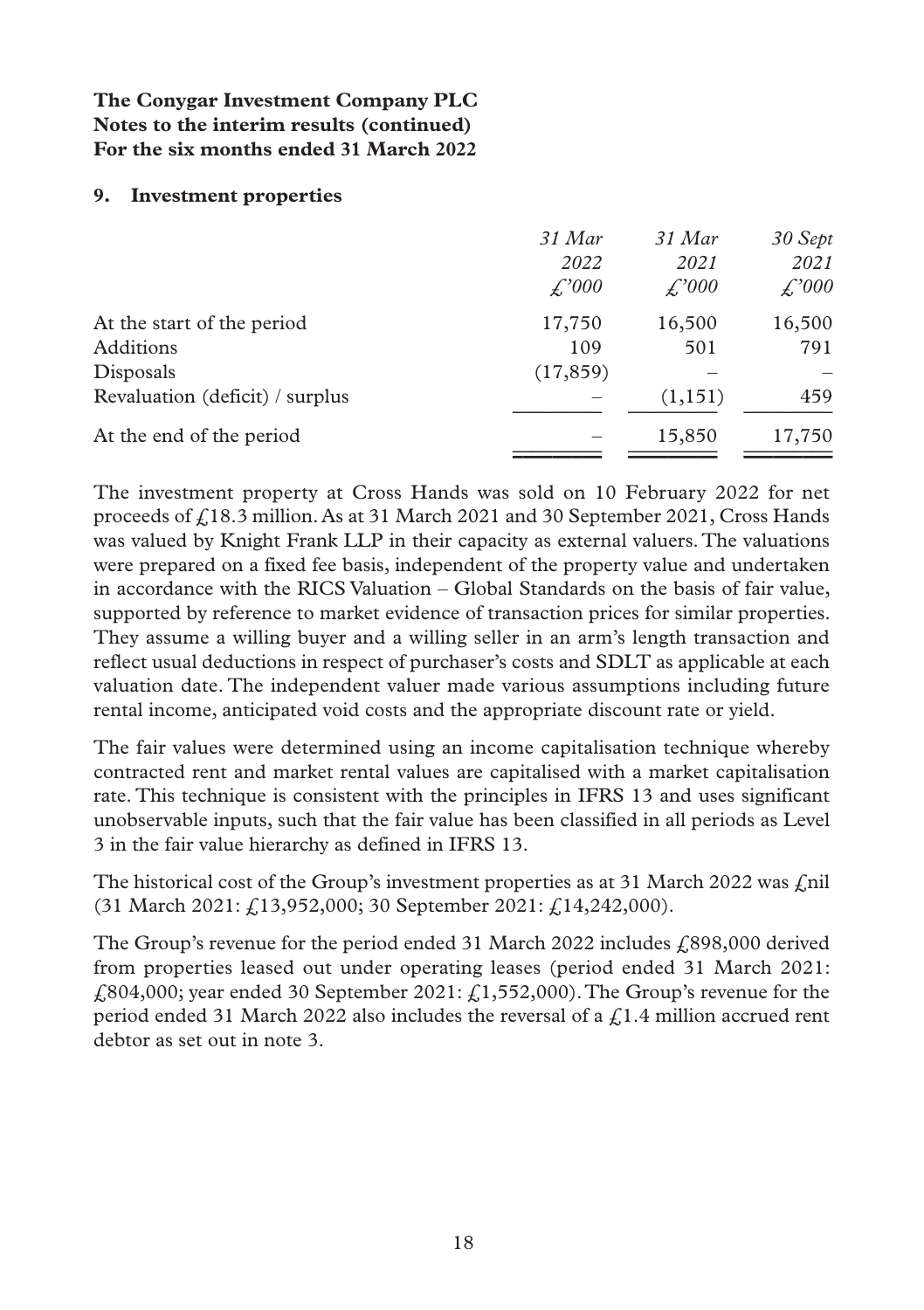#### **9. Investment properties**

|                                 | 31 Mar    | 31 Mar  | 30 Sept      |
|---------------------------------|-----------|---------|--------------|
|                                 | 2022      | 2021    | 2021         |
|                                 | £,'000    | £,'000  | $\angle 000$ |
| At the start of the period      | 17,750    | 16,500  | 16,500       |
| Additions                       | 109       | 501     | 791          |
| Disposals                       | (17, 859) |         |              |
| Revaluation (deficit) / surplus |           | (1,151) | 459          |
| At the end of the period        |           | 15,850  | 17,750       |
|                                 |           |         |              |

The investment property at Cross Hands was sold on 10 February 2022 for net proceeds of £18.3 million. As at 31 March 2021 and 30 September 2021, Cross Hands was valued by Knight Frank LLP in their capacity as external valuers. The valuations were prepared on a fixed fee basis, independent of the property value and undertaken in accordance with the RICS Valuation – Global Standards on the basis of fair value, supported by reference to market evidence of transaction prices for similar properties. They assume a willing buyer and a willing seller in an arm's length transaction and reflect usual deductions in respect of purchaser's costs and SDLT as applicable at each valuation date. The independent valuer made various assumptions including future rental income, anticipated void costs and the appropriate discount rate or yield.

The fair values were determined using an income capitalisation technique whereby contracted rent and market rental values are capitalised with a market capitalisation rate. This technique is consistent with the principles in IFRS 13 and uses significant unobservable inputs, such that the fair value has been classified in all periods as Level 3 in the fair value hierarchy as defined in IFRS 13.

The historical cost of the Group's investment properties as at 31 March 2022 was  $\ell$ nil (31 March 2021: £13,952,000; 30 September 2021: £14,242,000).

The Group's revenue for the period ended 31 March 2022 includes  $\text{\textsterling}898,000$  derived from properties leased out under operating leases (period ended 31 March 2021:  $£804,000$ ; year ended 30 September 2021:  $£1,552,000$ ). The Group's revenue for the period ended 31 March 2022 also includes the reversal of a  $\zeta$ 1.4 million accrued rent debtor as set out in note 3.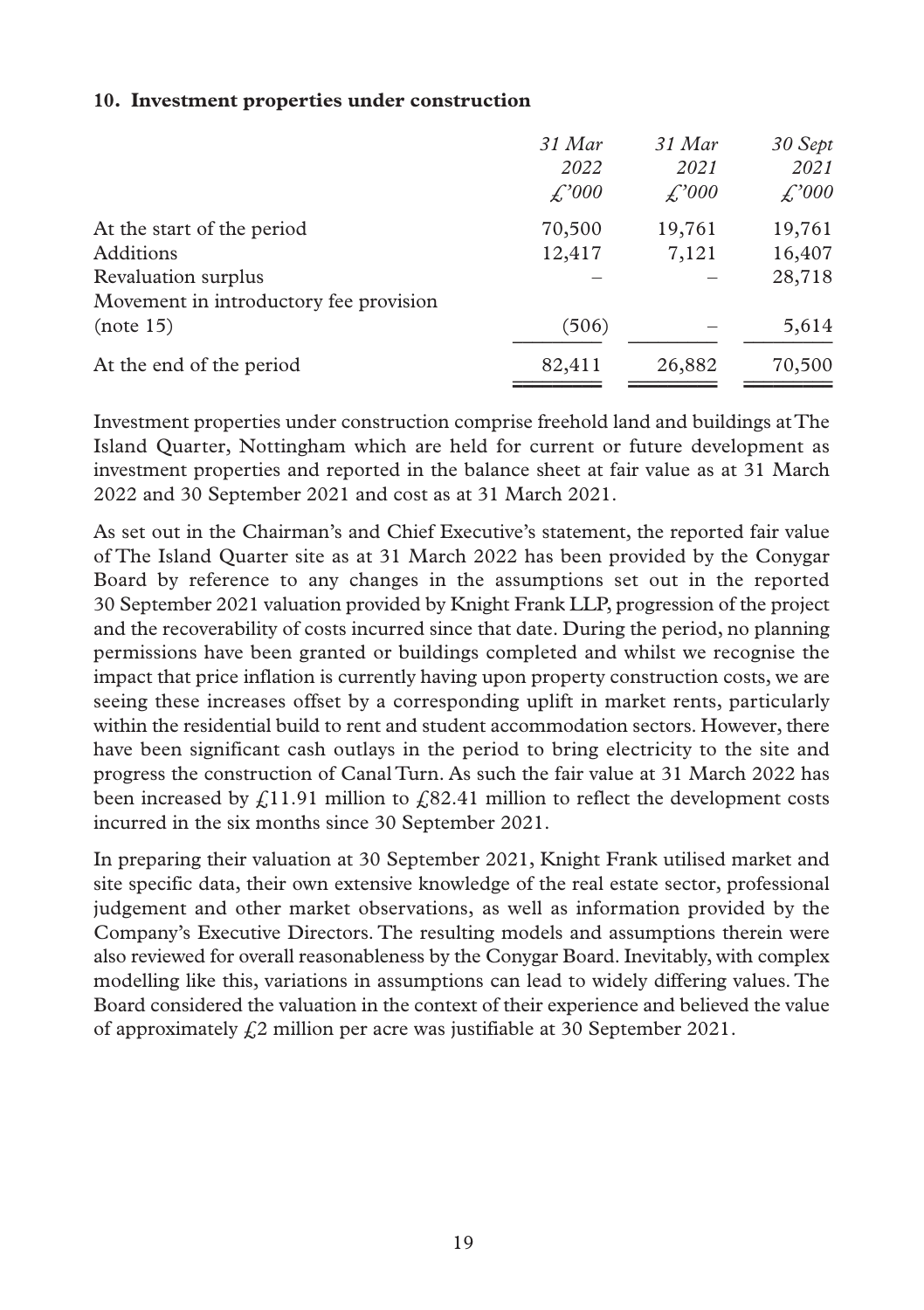#### **10. Investment properties under construction**

| 31 Mar | 31 Mar | 30 Sept |
|--------|--------|---------|
| 2022   | 2021   | 2021    |
| £,'000 | £,'000 | £,'000  |
| 70,500 | 19,761 | 19,761  |
| 12,417 | 7,121  | 16,407  |
|        |        | 28,718  |
|        |        |         |
| (506)  |        | 5,614   |
| 82,411 | 26,882 | 70,500  |
|        |        |         |

Investment properties under construction comprise freehold land and buildings at The Island Quarter, Nottingham which are held for current or future development as investment properties and reported in the balance sheet at fair value as at 31 March 2022 and 30 September 2021 and cost as at 31 March 2021.

As set out in the Chairman's and Chief Executive's statement, the reported fair value of The Island Quarter site as at 31 March 2022 has been provided by the Conygar Board by reference to any changes in the assumptions set out in the reported 30 September 2021 valuation provided by Knight Frank LLP, progression of the project and the recoverability of costs incurred since that date. During the period, no planning permissions have been granted or buildings completed and whilst we recognise the impact that price inflation is currently having upon property construction costs, we are seeing these increases offset by a corresponding uplift in market rents, particularly within the residential build to rent and student accommodation sectors. However, there have been significant cash outlays in the period to bring electricity to the site and progress the construction of Canal Turn. As such the fair value at 31 March 2022 has been increased by  $\ell$ 11.91 million to  $\ell$ 82.41 million to reflect the development costs incurred in the six months since 30 September 2021.

In preparing their valuation at 30 September 2021, Knight Frank utilised market and site specific data, their own extensive knowledge of the real estate sector, professional judgement and other market observations, as well as information provided by the Company's Executive Directors. The resulting models and assumptions therein were also reviewed for overall reasonableness by the Conygar Board. Inevitably, with complex modelling like this, variations in assumptions can lead to widely differing values. The Board considered the valuation in the context of their experience and believed the value of approximately  $\zeta$ 2 million per acre was justifiable at 30 September 2021.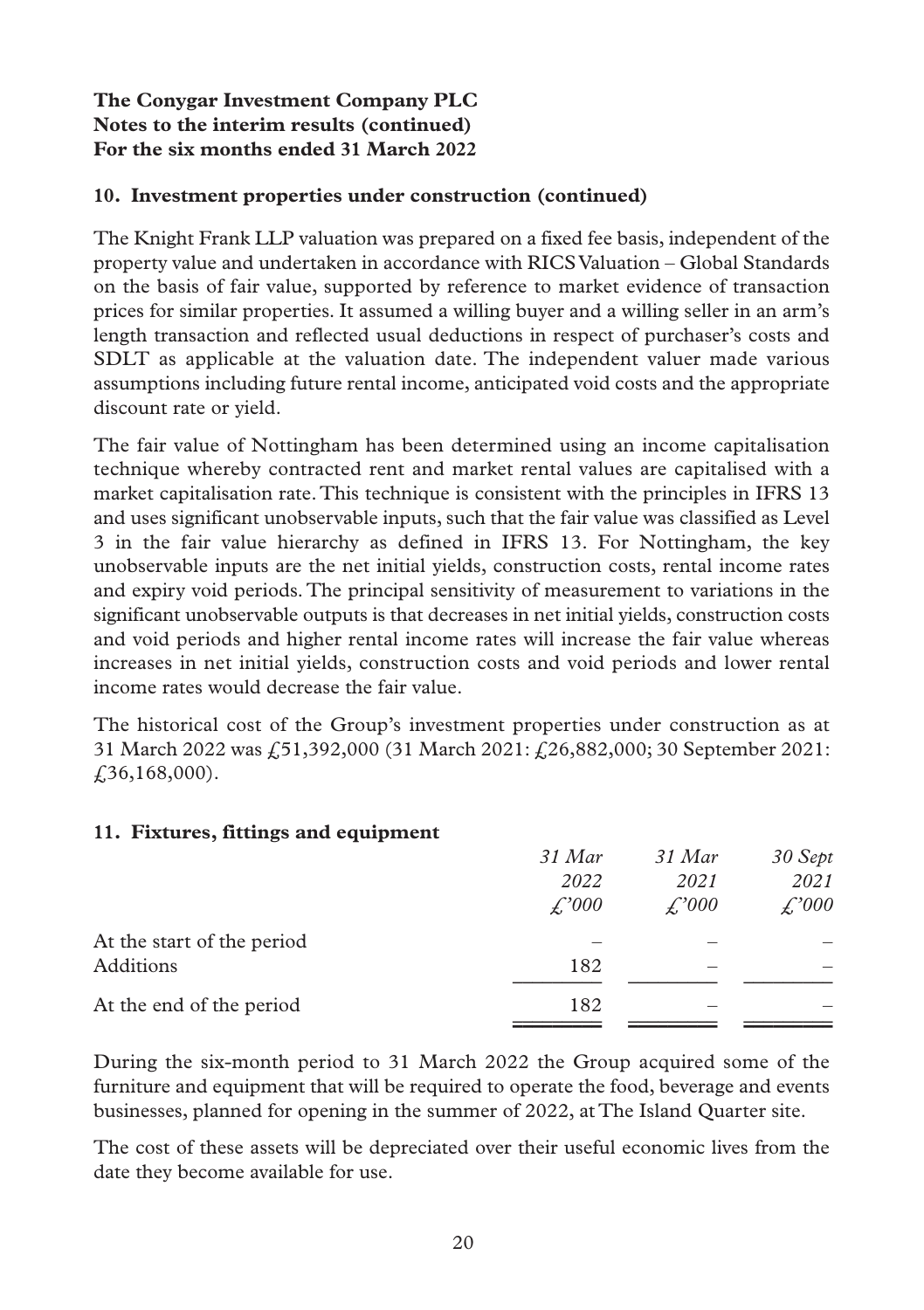#### **10. Investment properties under construction (continued)**

The Knight Frank LLP valuation was prepared on a fixed fee basis, independent of the property value and undertaken in accordance with RICS Valuation – Global Standards on the basis of fair value, supported by reference to market evidence of transaction prices for similar properties. It assumed a willing buyer and a willing seller in an arm's length transaction and reflected usual deductions in respect of purchaser's costs and SDLT as applicable at the valuation date. The independent valuer made various assumptions including future rental income, anticipated void costs and the appropriate discount rate or yield.

The fair value of Nottingham has been determined using an income capitalisation technique whereby contracted rent and market rental values are capitalised with a market capitalisation rate. This technique is consistent with the principles in IFRS 13 and uses significant unobservable inputs, such that the fair value was classified as Level 3 in the fair value hierarchy as defined in IFRS 13. For Nottingham, the key unobservable inputs are the net initial yields, construction costs, rental income rates and expiry void periods. The principal sensitivity of measurement to variations in the significant unobservable outputs is that decreases in net initial yields, construction costs and void periods and higher rental income rates will increase the fair value whereas increases in net initial yields, construction costs and void periods and lower rental income rates would decrease the fair value.

The historical cost of the Group's investment properties under construction as at 31 March 2022 was £51,392,000 (31 March 2021: £26,882,000; 30 September 2021: £36,168,000).

#### **11. Fixtures, fittings and equipment**

|                            | 31 Mar       | 31 Mar             | 30 Sept      |
|----------------------------|--------------|--------------------|--------------|
|                            | 2022         | 2021               | 2021         |
|                            | $\angle 000$ | $\mathcal{L}^2000$ | $\angle 000$ |
| At the start of the period |              |                    |              |
| Additions                  | 182          | -                  |              |
| At the end of the period   | 182          |                    |              |
|                            |              |                    |              |

During the six-month period to 31 March 2022 the Group acquired some of the furniture and equipment that will be required to operate the food, beverage and events businesses, planned for opening in the summer of 2022, at The Island Quarter site.

The cost of these assets will be depreciated over their useful economic lives from the date they become available for use.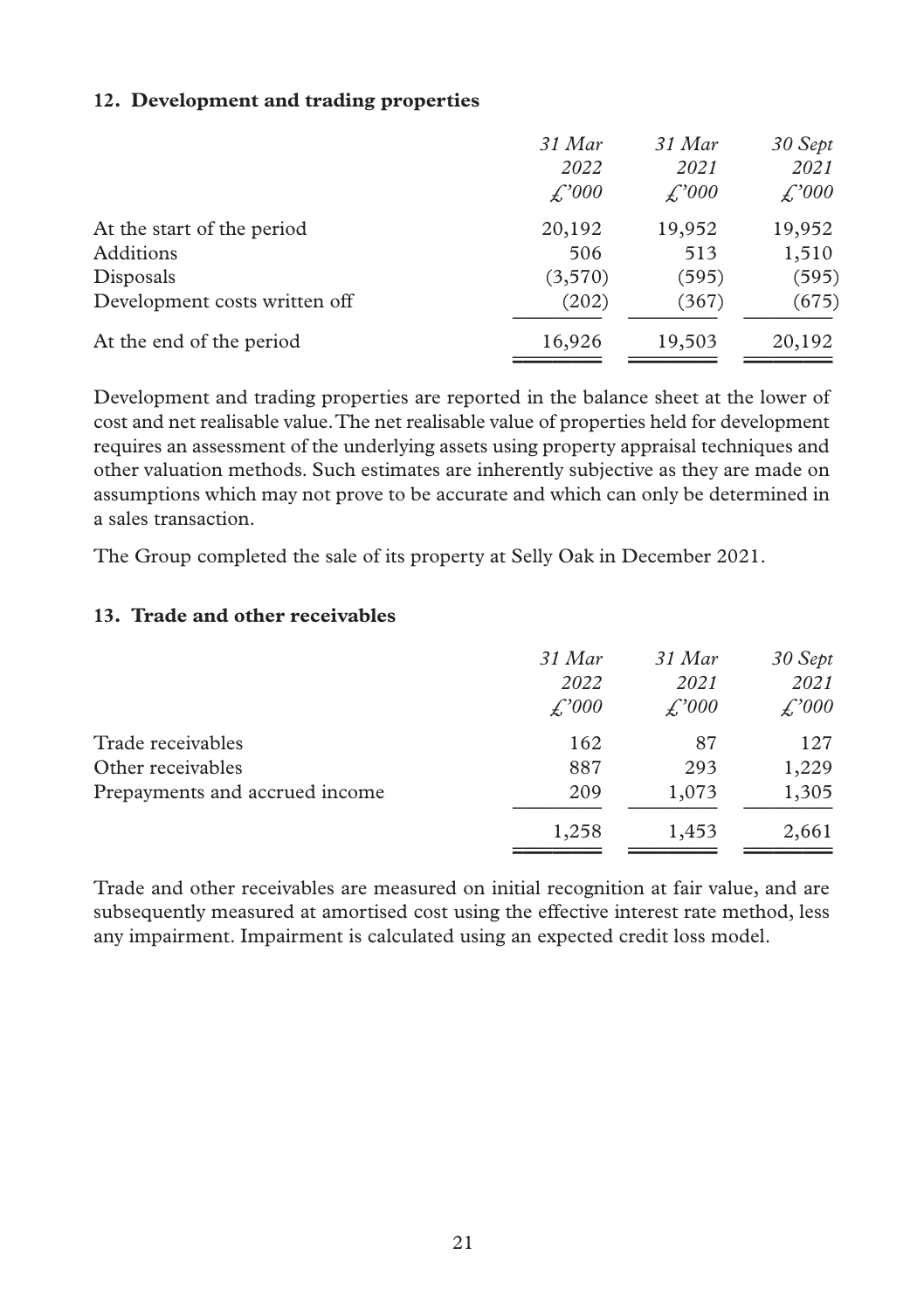#### **12. Development and trading properties**

|                               | 31 Mar  | 31 Mar       | 30 Sept      |
|-------------------------------|---------|--------------|--------------|
|                               | 2022    | 2021         | 2021         |
|                               | £,'000  | $\angle 000$ | $\angle 000$ |
| At the start of the period    | 20,192  | 19,952       | 19,952       |
| Additions                     | 506     | 513          | 1,510        |
| Disposals                     | (3,570) | (595)        | (595)        |
| Development costs written off | (202)   | (367)        | (675)        |
| At the end of the period      | 16,926  | 19,503       | 20,192       |
|                               |         |              |              |

Development and trading properties are reported in the balance sheet at the lower of cost and net realisable value. The net realisable value of properties held for development requires an assessment of the underlying assets using property appraisal techniques and other valuation methods. Such estimates are inherently subjective as they are made on assumptions which may not prove to be accurate and which can only be determined in a sales transaction.

The Group completed the sale of its property at Selly Oak in December 2021.

#### **13. Trade and other receivables**

|                                | 31 Mar | $31$ Mar | 30 Sept      |
|--------------------------------|--------|----------|--------------|
|                                | 2022   | 2021     | 2021         |
|                                | £,'000 | £,'000   | $\angle 000$ |
| Trade receivables              | 162    | 87       | 127          |
| Other receivables              | 887    | 293      | 1,229        |
| Prepayments and accrued income | 209    | 1,073    | 1,305        |
|                                | 1,258  | 1,453    | 2,661        |

Trade and other receivables are measured on initial recognition at fair value, and are subsequently measured at amortised cost using the effective interest rate method, less any impairment. Impairment is calculated using an expected credit loss model.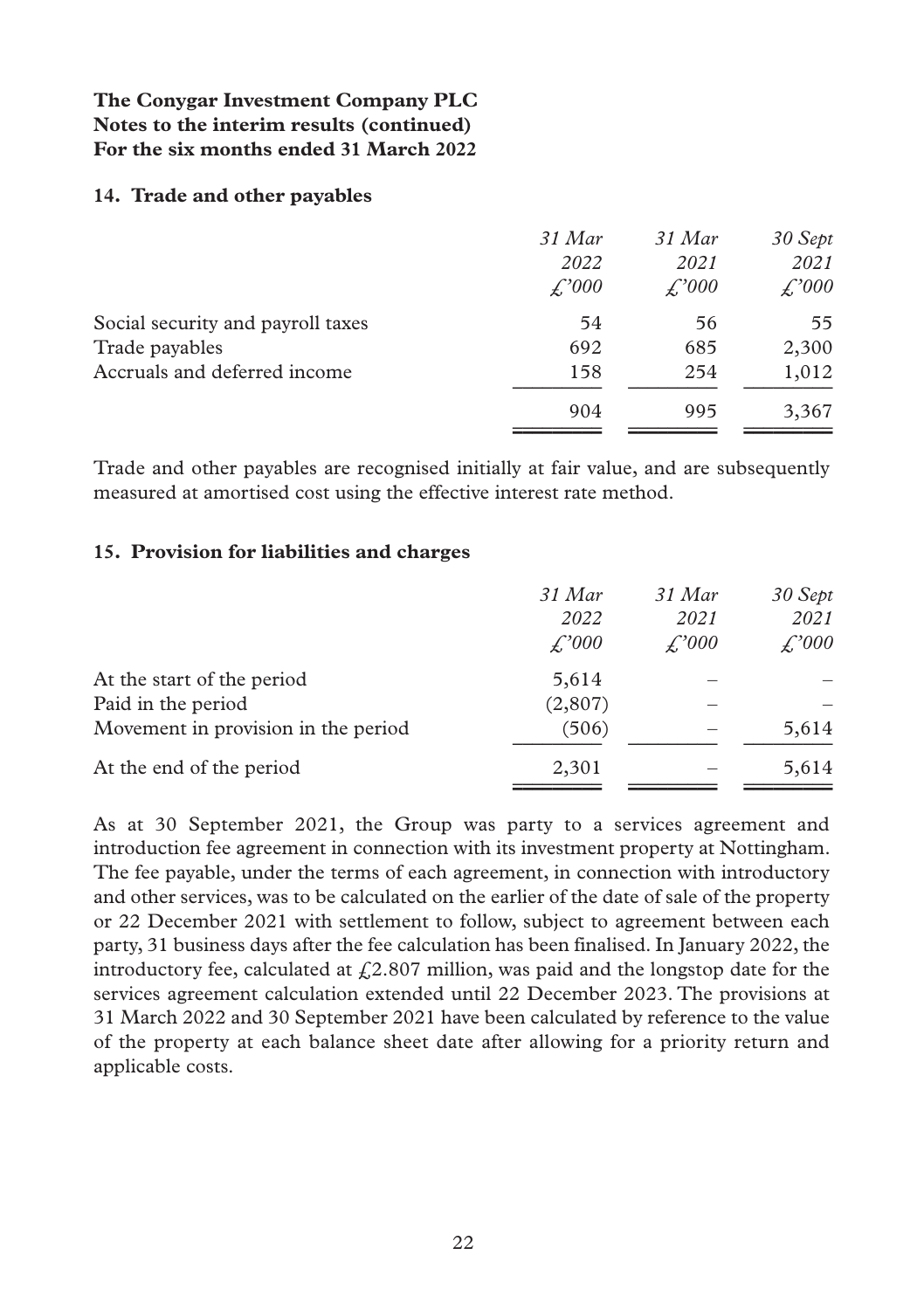#### **14. Trade and other payables**

|                                   | 31 Mar<br>2022<br>£,'000 | $31$ Mar<br>2021<br>£,'000 | 30 Sept<br>2021<br>$\angle 000$ |
|-----------------------------------|--------------------------|----------------------------|---------------------------------|
| Social security and payroll taxes | 54                       | 56                         | 55                              |
| Trade payables                    | 692                      | 685                        | 2,300                           |
| Accruals and deferred income      | 158                      | 254                        | 1,012                           |
|                                   | 904                      | 995                        | 3,367                           |
|                                   |                          |                            |                                 |

Trade and other payables are recognised initially at fair value, and are subsequently measured at amortised cost using the effective interest rate method.

#### **15. Provision for liabilities and charges**

|                                     | 31 Mar<br>2022<br>$\angle 000$ | 31 Mar<br>2021<br>$\angle 000$ | 30 Sept<br>2021<br>$\angle 000$ |
|-------------------------------------|--------------------------------|--------------------------------|---------------------------------|
| At the start of the period          | 5,614                          |                                |                                 |
| Paid in the period                  | (2,807)                        |                                |                                 |
| Movement in provision in the period | (506)                          |                                | 5,614                           |
| At the end of the period            | 2,301                          |                                | 5,614                           |
|                                     |                                |                                |                                 |

As at 30 September 2021, the Group was party to a services agreement and introduction fee agreement in connection with its investment property at Nottingham. The fee payable, under the terms of each agreement, in connection with introductory and other services, was to be calculated on the earlier of the date of sale of the property or 22 December 2021 with settlement to follow, subject to agreement between each party, 31 business days after the fee calculation has been finalised. In January 2022, the introductory fee, calculated at  $\frac{f}{k^2}$ .807 million, was paid and the longstop date for the services agreement calculation extended until 22 December 2023. The provisions at 31 March 2022 and 30 September 2021 have been calculated by reference to the value of the property at each balance sheet date after allowing for a priority return and applicable costs.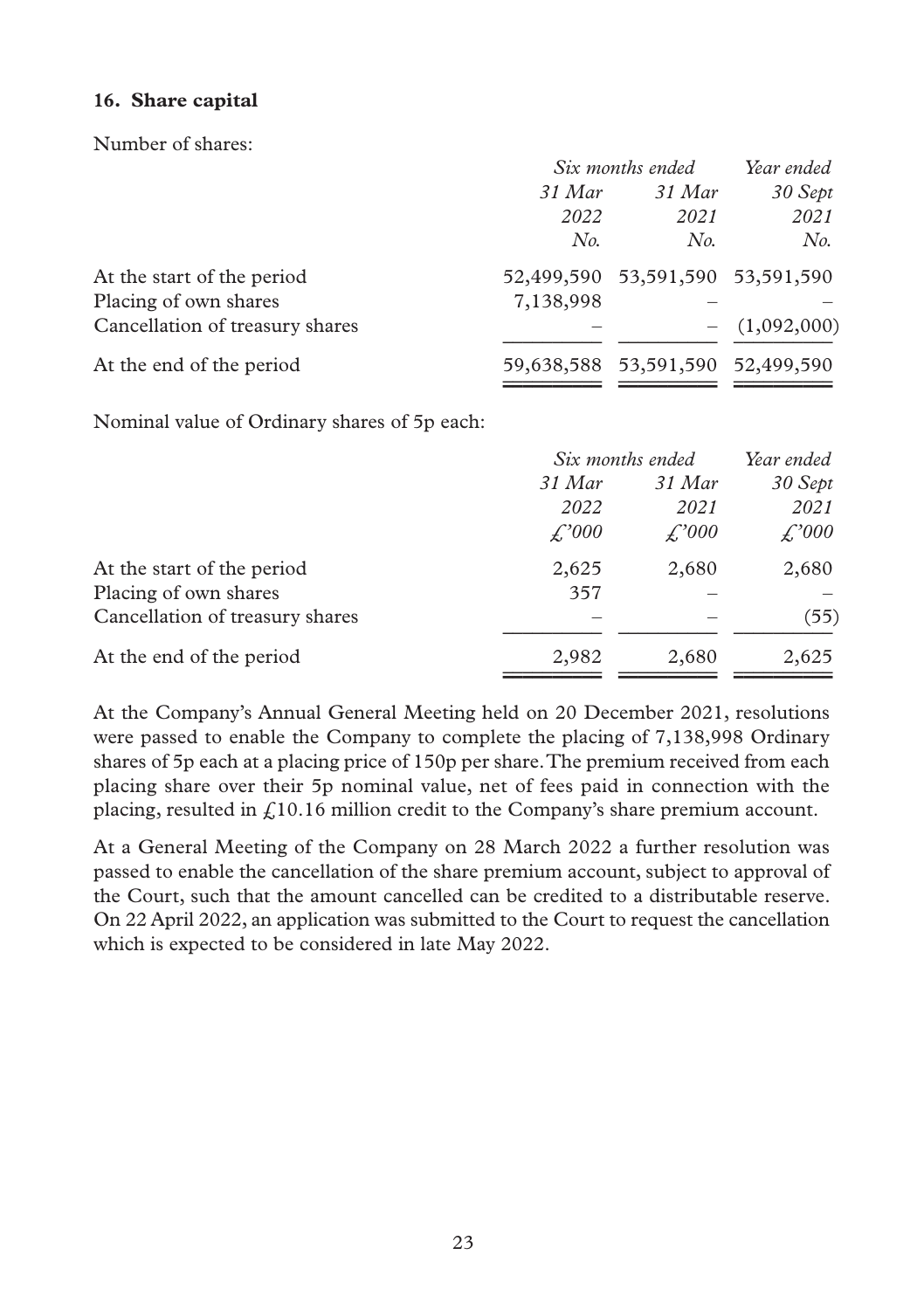#### **16. Share capital**

Number of shares:

| Six months ended |        | Year ended                                                           |
|------------------|--------|----------------------------------------------------------------------|
| 31 Mar           | 31 Mar | 30 Sept                                                              |
| 2022             | 2021   | 2021                                                                 |
| No.              | No.    | No.                                                                  |
|                  |        |                                                                      |
| 7,138,998        |        |                                                                      |
|                  |        | $- (1,092,000)$                                                      |
|                  |        |                                                                      |
|                  |        | 52,499,590 53,591,590 53,591,590<br>59,638,588 53,591,590 52,499,590 |

Nominal value of Ordinary shares of 5p each:

|                                 |              | Six months ended |              |
|---------------------------------|--------------|------------------|--------------|
|                                 | 31 Mar       | 31 Mar           | 30 Sept      |
|                                 | 2022         | 2021             | 2021         |
|                                 | $\angle 000$ | $\angle 000$     | $\angle 000$ |
| At the start of the period      | 2,625        | 2,680            | 2,680        |
| Placing of own shares           | 357          |                  |              |
| Cancellation of treasury shares |              |                  | (55)         |
| At the end of the period        | 2,982        | 2,680            | 2,625        |
|                                 |              |                  |              |

At the Company's Annual General Meeting held on 20 December 2021, resolutions were passed to enable the Company to complete the placing of 7,138,998 Ordinary shares of 5p each at a placing price of 150p per share. The premium received from each placing share over their 5p nominal value, net of fees paid in connection with the placing, resulted in  $f(10.16)$  million credit to the Company's share premium account.

At a General Meeting of the Company on 28 March 2022 a further resolution was passed to enable the cancellation of the share premium account, subject to approval of the Court, such that the amount cancelled can be credited to a distributable reserve. On 22 April 2022, an application was submitted to the Court to request the cancellation which is expected to be considered in late May 2022.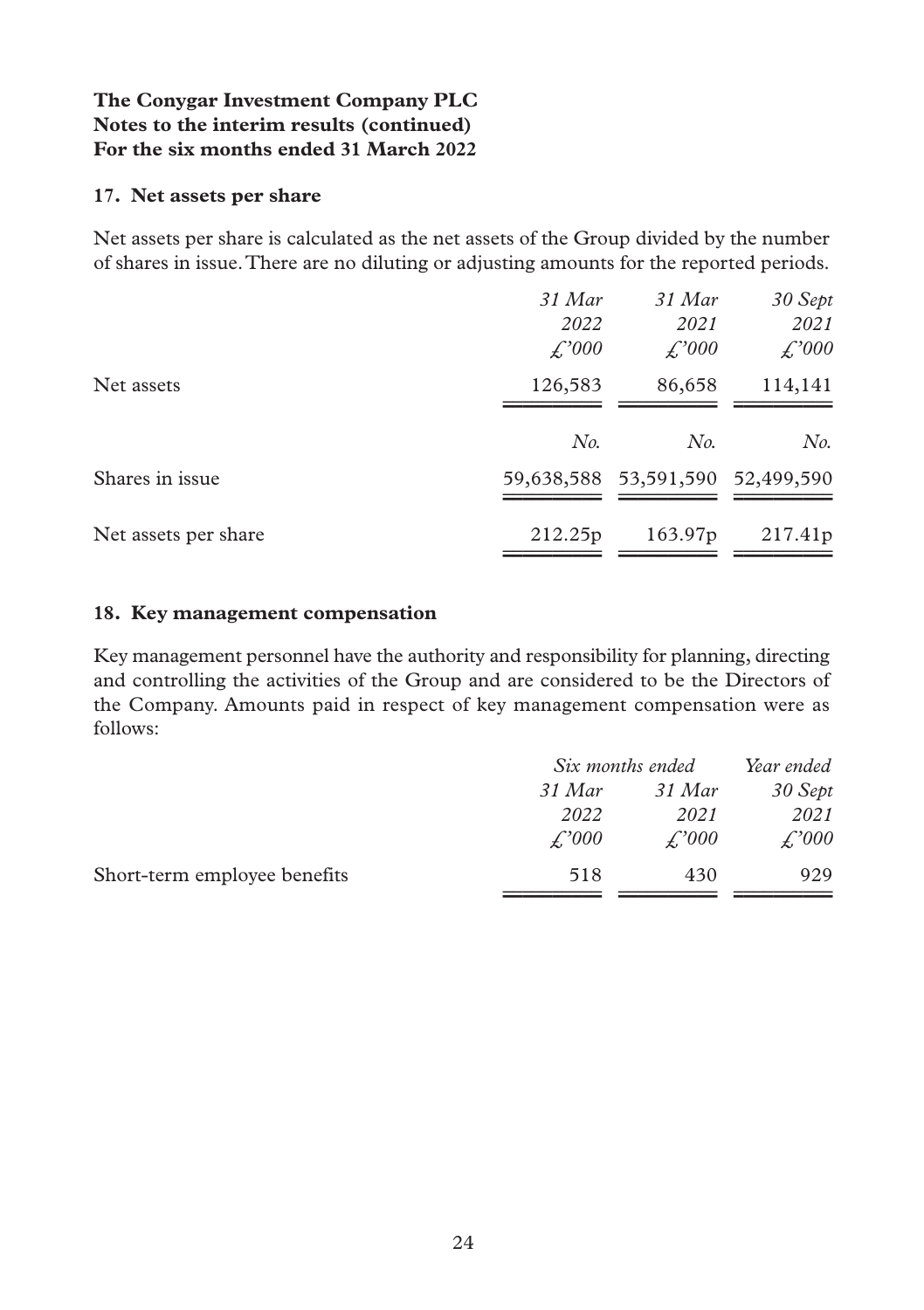#### **17. Net assets per share**

Net assets per share is calculated as the net assets of the Group divided by the number of shares in issue. There are no diluting or adjusting amounts for the reported periods.

|                      | $31$ Mar     | $31$ Mar                         | 30 Sept |
|----------------------|--------------|----------------------------------|---------|
|                      | 2022         | 2021                             | 2021    |
|                      | $\angle 000$ | $\angle 000$                     | £,'000  |
| Net assets           | 126,583      | 86,658                           | 114,141 |
|                      |              |                                  |         |
|                      | No.          | No.                              | No.     |
| Shares in issue      |              | 59,638,588 53,591,590 52,499,590 |         |
|                      |              |                                  |         |
| Net assets per share | 212.25p      | 163.97 <sub>p</sub>              | 217.41p |
|                      |              |                                  |         |

#### **18. Key management compensation**

Key management personnel have the authority and responsibility for planning, directing and controlling the activities of the Group and are considered to be the Directors of the Company. Amounts paid in respect of key management compensation were as follows:

|                              | Six months ended |              | Year ended          |
|------------------------------|------------------|--------------|---------------------|
|                              | 31 Mar           | 31 Mar       | 30 Sept             |
|                              | 2022             | 2021         | 2021                |
|                              | $\angle 000$     | $\angle 000$ | $\mathcal{L}^2 000$ |
| Short-term employee benefits | 518              | 430          | 929                 |
|                              |                  |              |                     |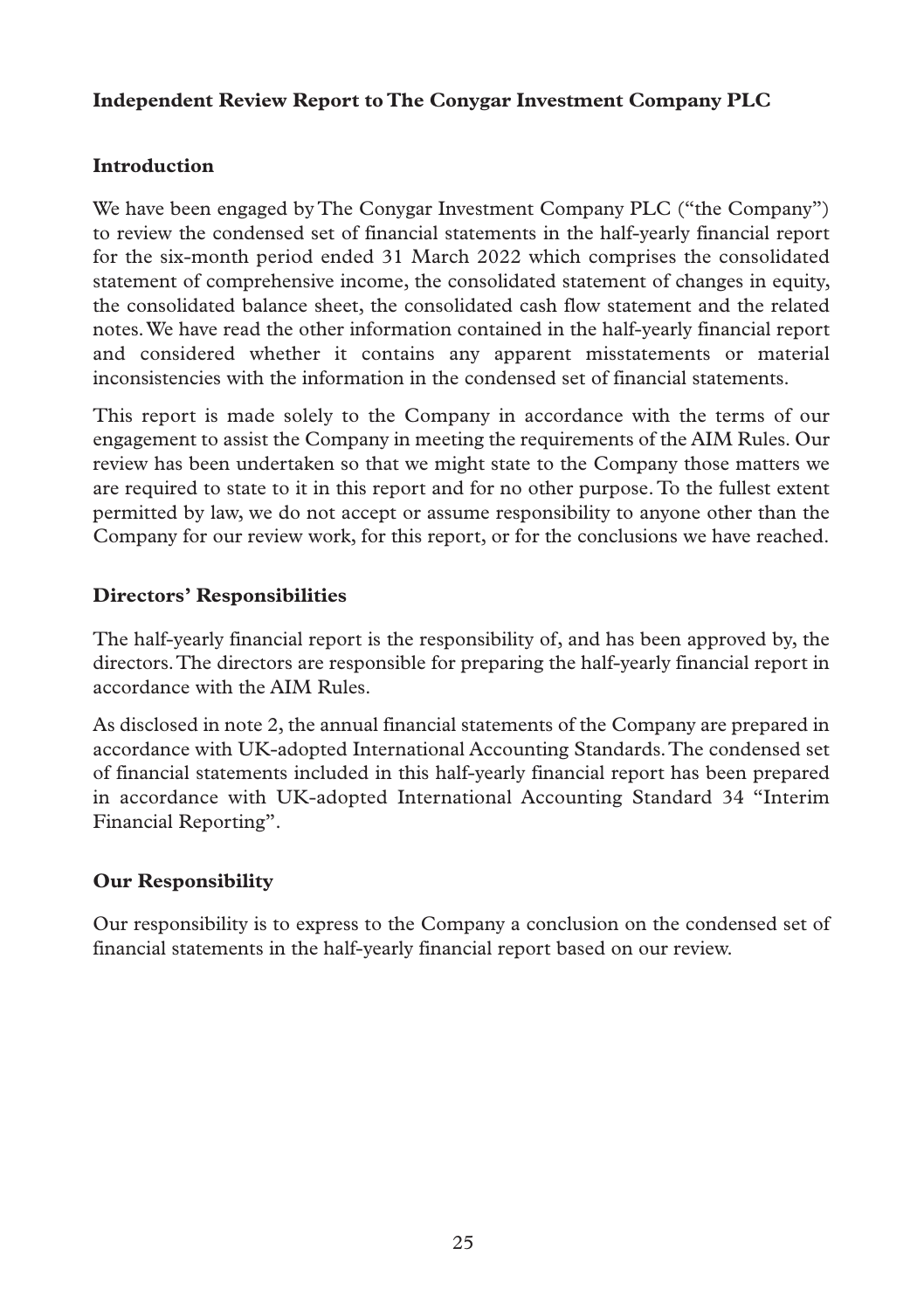#### **Independent Review Report to The Conygar Investment Company PLC**

## **Introduction**

We have been engaged by The Conygar Investment Company PLC ("the Company") to review the condensed set of financial statements in the half-yearly financial report for the six-month period ended 31 March 2022 which comprises the consolidated statement of comprehensive income, the consolidated statement of changes in equity, the consolidated balance sheet, the consolidated cash flow statement and the related notes. We have read the other information contained in the half-yearly financial report and considered whether it contains any apparent misstatements or material inconsistencies with the information in the condensed set of financial statements.

This report is made solely to the Company in accordance with the terms of our engagement to assist the Company in meeting the requirements of the AIM Rules. Our review has been undertaken so that we might state to the Company those matters we are required to state to it in this report and for no other purpose. To the fullest extent permitted by law, we do not accept or assume responsibility to anyone other than the Company for our review work, for this report, or for the conclusions we have reached.

## **Directors' Responsibilities**

The half-yearly financial report is the responsibility of, and has been approved by, the directors. The directors are responsible for preparing the half-yearly financial report in accordance with the AIM Rules.

As disclosed in note 2, the annual financial statements of the Company are prepared in accordance with UK-adopted International Accounting Standards. The condensed set of financial statements included in this half-yearly financial report has been prepared in accordance with UK-adopted International Accounting Standard 34 "Interim Financial Reporting".

## **Our Responsibility**

Our responsibility is to express to the Company a conclusion on the condensed set of financial statements in the half-yearly financial report based on our review.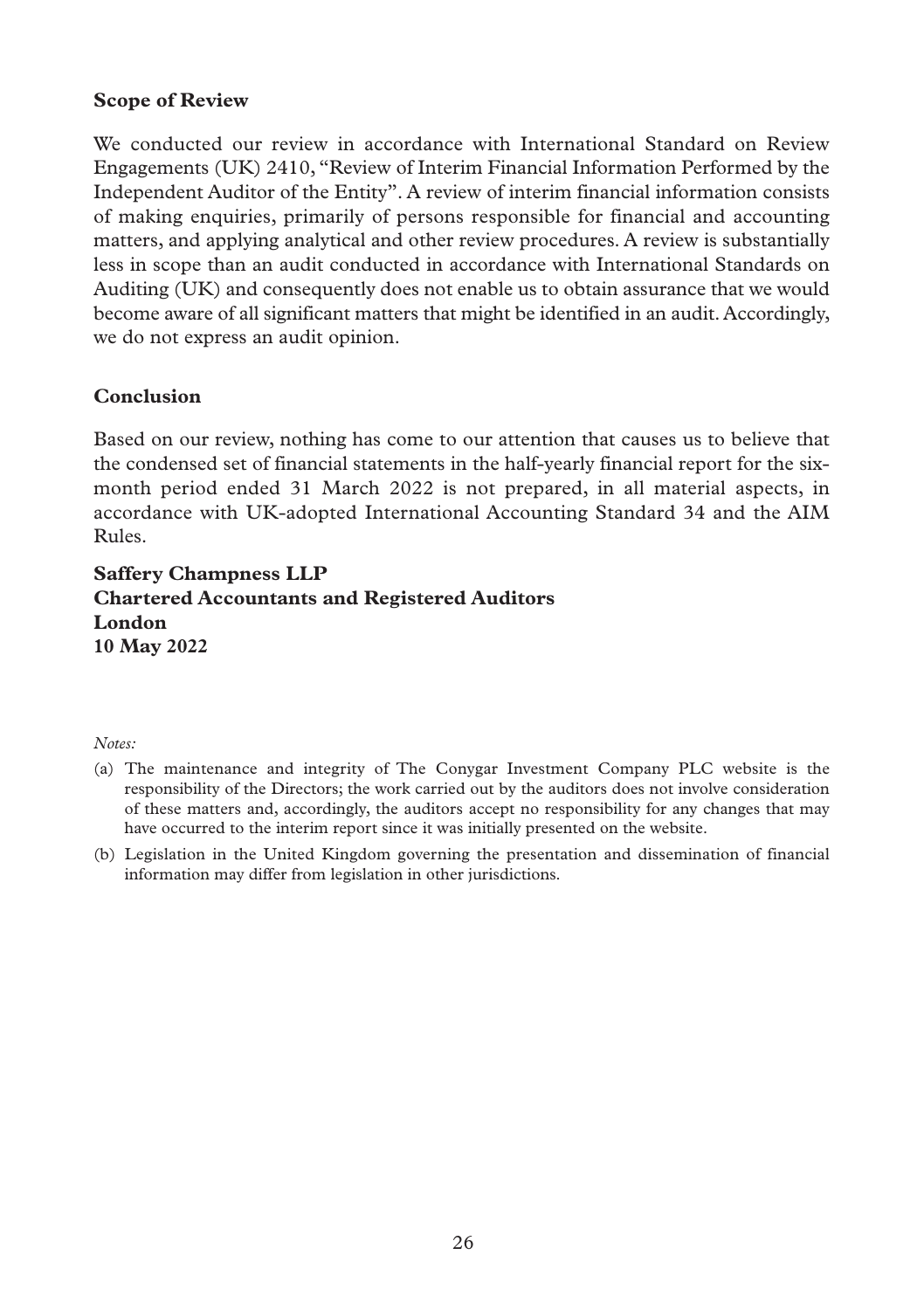#### **Scope of Review**

We conducted our review in accordance with International Standard on Review Engagements (UK) 2410, "Review of Interim Financial Information Performed by the Independent Auditor of the Entity". A review of interim financial information consists of making enquiries, primarily of persons responsible for financial and accounting matters, and applying analytical and other review procedures. A review is substantially less in scope than an audit conducted in accordance with International Standards on Auditing (UK) and consequently does not enable us to obtain assurance that we would become aware of all significant matters that might be identified in an audit. Accordingly, we do not express an audit opinion.

### **Conclusion**

Based on our review, nothing has come to our attention that causes us to believe that the condensed set of financial statements in the half-yearly financial report for the sixmonth period ended 31 March 2022 is not prepared, in all material aspects, in accordance with UK-adopted International Accounting Standard 34 and the AIM Rules.

**Saffery Champness LLP Chartered Accountants and Registered Auditors London 10 May 2022**

#### *Notes:*

- (a) The maintenance and integrity of The Conygar Investment Company PLC website is the responsibility of the Directors; the work carried out by the auditors does not involve consideration of these matters and, accordingly, the auditors accept no responsibility for any changes that may have occurred to the interim report since it was initially presented on the website.
- (b) Legislation in the United Kingdom governing the presentation and dissemination of financial information may differ from legislation in other jurisdictions.